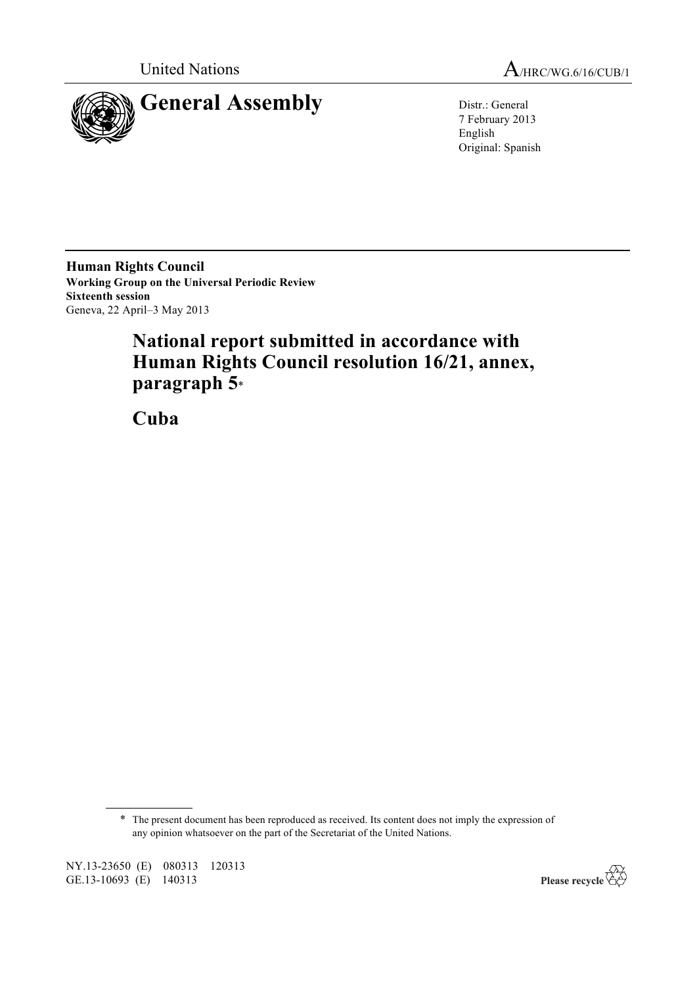

United Nations A/HRC/WG.6/16/CUB/1

7 February 2013 English Original: Spanish

**Human Rights Council Working Group on the Universal Periodic Review Sixteenth session** Geneva, 22 April–3 May 2013

# **National report submitted in accordance with Human Rights Council resolution 16/21, annex, paragraph 5**\*

**Cuba**

\* The present document has been reproduced as received. Its content does not imply the expression of any opinion whatsoever on the part of the Secretariat of the United Nations.

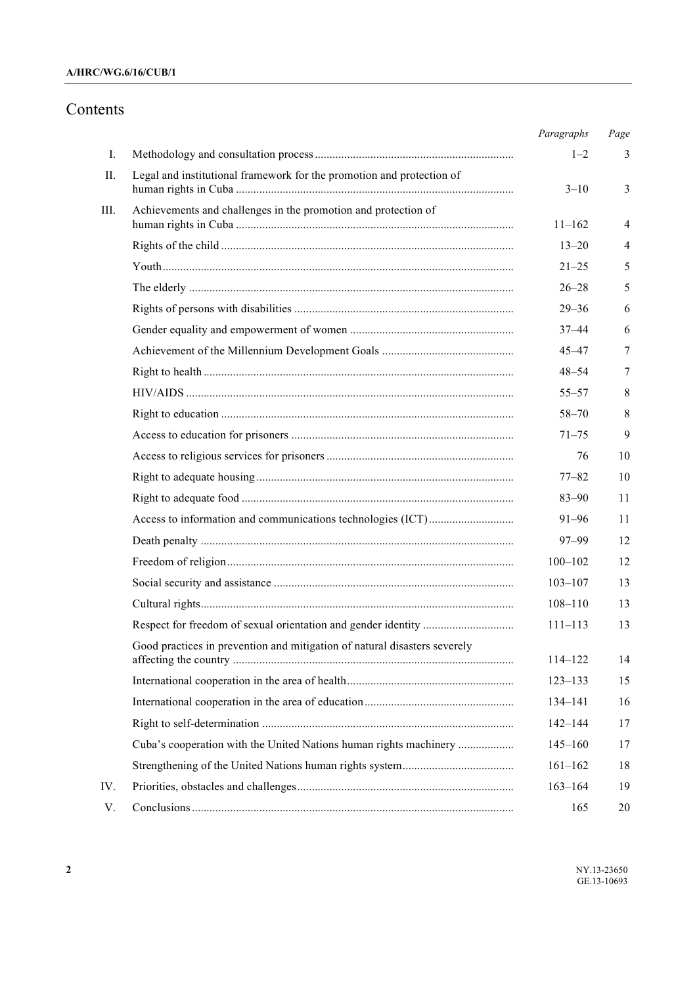# **A/HRC/WG.6/16/CUB/1**

# Contents

|      |                                                                           | Paragraphs  | Page |
|------|---------------------------------------------------------------------------|-------------|------|
| I.   |                                                                           | $1 - 2$     | 3    |
| П.   | Legal and institutional framework for the promotion and protection of     | $3 - 10$    | 3    |
| III. | Achievements and challenges in the promotion and protection of            | $11 - 162$  | 4    |
|      |                                                                           | $13 - 20$   | 4    |
|      |                                                                           | $21 - 25$   | 5    |
|      |                                                                           | $26 - 28$   | 5    |
|      |                                                                           | $29 - 36$   | 6    |
|      |                                                                           | $37 - 44$   | 6    |
|      |                                                                           | $45 - 47$   | 7    |
|      |                                                                           | $48 - 54$   | 7    |
|      |                                                                           | $55 - 57$   | 8    |
|      |                                                                           | $58 - 70$   | 8    |
|      |                                                                           | $71 - 75$   | 9    |
|      |                                                                           | 76          | 10   |
|      |                                                                           | $77 - 82$   | 10   |
|      |                                                                           | $83 - 90$   | 11   |
|      |                                                                           | 91–96       | 11   |
|      |                                                                           | $97 - 99$   | 12   |
|      |                                                                           | $100 - 102$ | 12   |
|      |                                                                           | $103 - 107$ | 13   |
|      |                                                                           | $108 - 110$ | 13   |
|      |                                                                           | $111 - 113$ | 13   |
|      | Good practices in prevention and mitigation of natural disasters severely | $114 - 122$ | 14   |
|      |                                                                           | $123 - 133$ | 15   |
|      |                                                                           | 134-141     | 16   |
|      |                                                                           | $142 - 144$ | 17   |
|      | Cuba's cooperation with the United Nations human rights machinery         | $145 - 160$ | 17   |
|      |                                                                           | $161 - 162$ | 18   |
| IV.  |                                                                           | $163 - 164$ | 19   |
| V.   |                                                                           | 165         | 20   |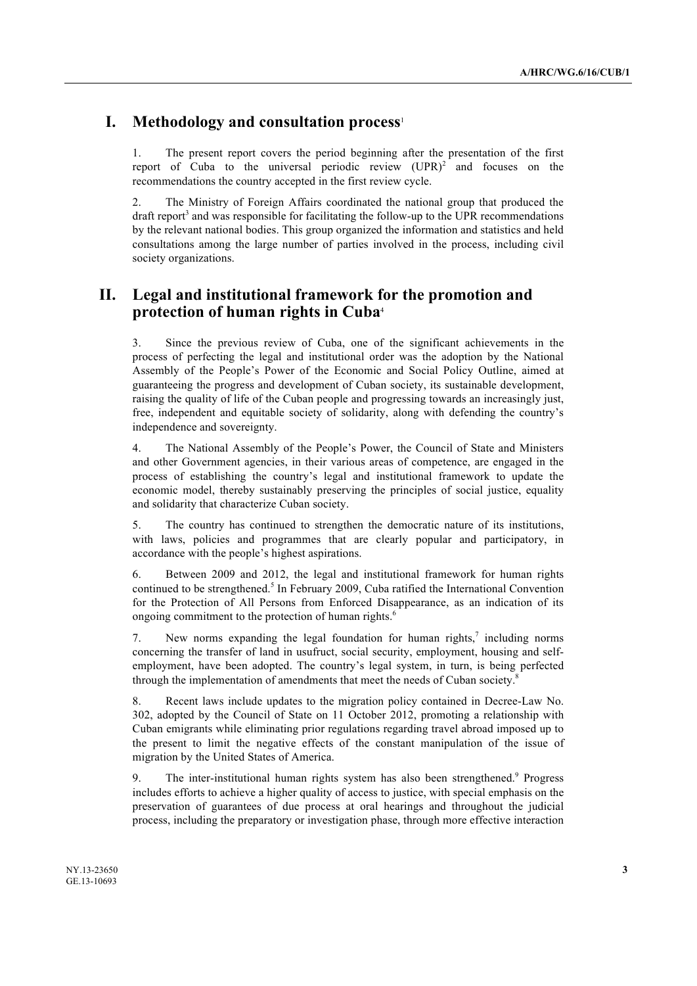# **I. Methodology and consultation process**<sup>1</sup>

1. The present report covers the period beginning after the presentation of the first report of Cuba to the universal periodic review  $(UPR)^2$  and focuses on the recommendations the country accepted in the first review cycle.

2. The Ministry of Foreign Affairs coordinated the national group that produced the draft report<sup>3</sup> and was responsible for facilitating the follow-up to the UPR recommendations by the relevant national bodies. This group organized the information and statistics and held consultations among the large number of parties involved in the process, including civil society organizations.

# **II. Legal and institutional framework for the promotion and protection of human rights in Cuba**<sup>4</sup>

3. Since the previous review of Cuba, one of the significant achievements in the process of perfecting the legal and institutional order was the adoption by the National Assembly of the People's Power of the Economic and Social Policy Outline, aimed at guaranteeing the progress and development of Cuban society, its sustainable development, raising the quality of life of the Cuban people and progressing towards an increasingly just, free, independent and equitable society of solidarity, along with defending the country's independence and sovereignty.

4. The National Assembly of the People's Power, the Council of State and Ministers and other Government agencies, in their various areas of competence, are engaged in the process of establishing the country's legal and institutional framework to update the economic model, thereby sustainably preserving the principles of social justice, equality and solidarity that characterize Cuban society.

5. The country has continued to strengthen the democratic nature of its institutions, with laws, policies and programmes that are clearly popular and participatory, in accordance with the people's highest aspirations.

6. Between 2009 and 2012, the legal and institutional framework for human rights continued to be strengthened.<sup>5</sup> In February 2009, Cuba ratified the International Convention for the Protection of All Persons from Enforced Disappearance, as an indication of its ongoing commitment to the protection of human rights.<sup>6</sup>

7. New norms expanding the legal foundation for human rights,<sup>7</sup> including norms concerning the transfer of land in usufruct, social security, employment, housing and selfemployment, have been adopted. The country's legal system, in turn, is being perfected through the implementation of amendments that meet the needs of Cuban society.<sup>8</sup>

8. Recent laws include updates to the migration policy contained in Decree-Law No. 302, adopted by the Council of State on 11 October 2012, promoting a relationship with Cuban emigrants while eliminating prior regulations regarding travel abroad imposed up to the present to limit the negative effects of the constant manipulation of the issue of migration by the United States of America.

9. The inter-institutional human rights system has also been strengthened.9 Progress includes efforts to achieve a higher quality of access to justice, with special emphasis on the preservation of guarantees of due process at oral hearings and throughout the judicial process, including the preparatory or investigation phase, through more effective interaction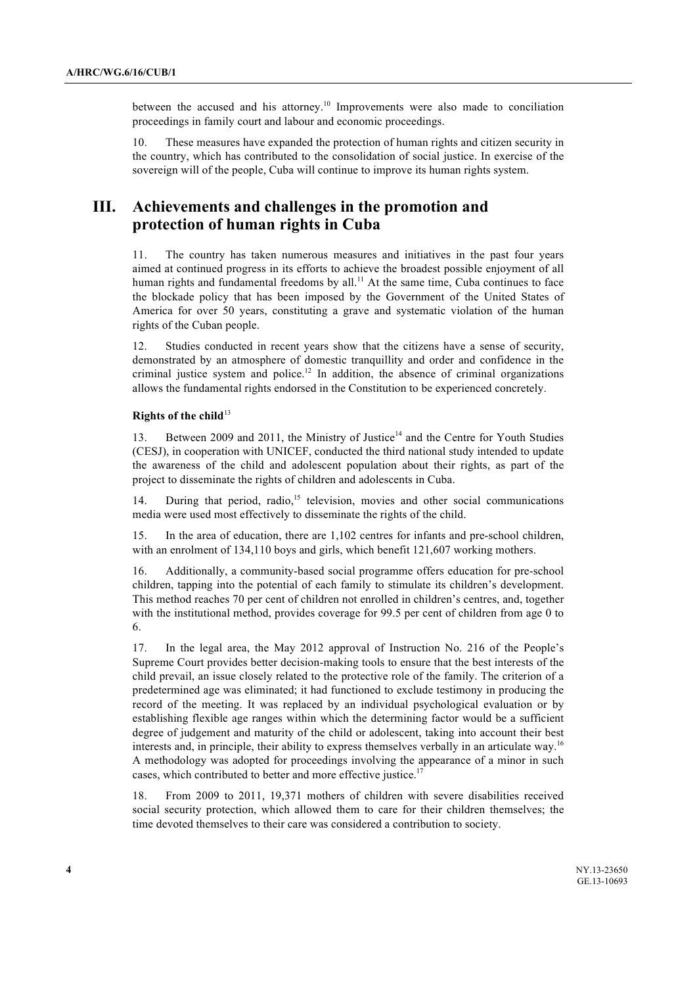between the accused and his attorney.<sup>10</sup> Improvements were also made to conciliation proceedings in family court and labour and economic proceedings.

10. These measures have expanded the protection of human rights and citizen security in the country, which has contributed to the consolidation of social justice. In exercise of the sovereign will of the people, Cuba will continue to improve its human rights system.

# **III. Achievements and challenges in the promotion and protection of human rights in Cuba**

11. The country has taken numerous measures and initiatives in the past four years aimed at continued progress in its efforts to achieve the broadest possible enjoyment of all human rights and fundamental freedoms by all.<sup>11</sup> At the same time, Cuba continues to face the blockade policy that has been imposed by the Government of the United States of America for over 50 years, constituting a grave and systematic violation of the human rights of the Cuban people.

12. Studies conducted in recent years show that the citizens have a sense of security, demonstrated by an atmosphere of domestic tranquillity and order and confidence in the criminal justice system and police.<sup>12</sup> In addition, the absence of criminal organizations allows the fundamental rights endorsed in the Constitution to be experienced concretely.

# **Rights of the child**<sup>13</sup>

13. Between 2009 and 2011, the Ministry of Justice<sup>14</sup> and the Centre for Youth Studies (CESJ), in cooperation with UNICEF, conducted the third national study intended to update the awareness of the child and adolescent population about their rights, as part of the project to disseminate the rights of children and adolescents in Cuba.

14. During that period, radio,<sup>15</sup> television, movies and other social communications media were used most effectively to disseminate the rights of the child.

15. In the area of education, there are 1,102 centres for infants and pre-school children, with an enrolment of 134,110 boys and girls, which benefit 121,607 working mothers.

16. Additionally, a community-based social programme offers education for pre-school children, tapping into the potential of each family to stimulate its children's development. This method reaches 70 per cent of children not enrolled in children's centres, and, together with the institutional method, provides coverage for 99.5 per cent of children from age 0 to 6.

17. In the legal area, the May 2012 approval of Instruction No. 216 of the People's Supreme Court provides better decision-making tools to ensure that the best interests of the child prevail, an issue closely related to the protective role of the family. The criterion of a predetermined age was eliminated; it had functioned to exclude testimony in producing the record of the meeting. It was replaced by an individual psychological evaluation or by establishing flexible age ranges within which the determining factor would be a sufficient degree of judgement and maturity of the child or adolescent, taking into account their best interests and, in principle, their ability to express themselves verbally in an articulate way.<sup>16</sup> A methodology was adopted for proceedings involving the appearance of a minor in such cases, which contributed to better and more effective justice.<sup>17</sup>

18. From 2009 to 2011, 19,371 mothers of children with severe disabilities received social security protection, which allowed them to care for their children themselves; the time devoted themselves to their care was considered a contribution to society.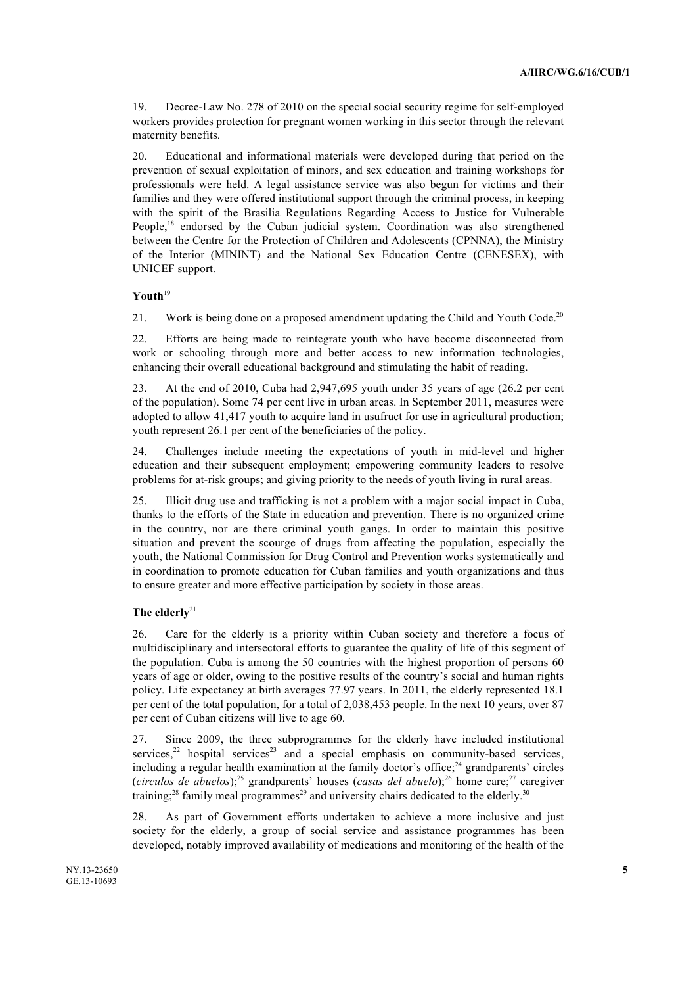19. Decree-Law No. 278 of 2010 on the special social security regime for self-employed workers provides protection for pregnant women working in this sector through the relevant maternity benefits.

20. Educational and informational materials were developed during that period on the prevention of sexual exploitation of minors, and sex education and training workshops for professionals were held. A legal assistance service was also begun for victims and their families and they were offered institutional support through the criminal process, in keeping with the spirit of the Brasilia Regulations Regarding Access to Justice for Vulnerable People,<sup>18</sup> endorsed by the Cuban judicial system. Coordination was also strengthened between the Centre for the Protection of Children and Adolescents (CPNNA), the Ministry of the Interior (MININT) and the National Sex Education Centre (CENESEX), with UNICEF support.

# **Youth**<sup>19</sup>

21. Work is being done on a proposed amendment updating the Child and Youth Code.<sup>20</sup>

22. Efforts are being made to reintegrate youth who have become disconnected from work or schooling through more and better access to new information technologies, enhancing their overall educational background and stimulating the habit of reading.

23. At the end of 2010, Cuba had 2,947,695 youth under 35 years of age (26.2 per cent of the population). Some 74 per cent live in urban areas. In September 2011, measures were adopted to allow 41,417 youth to acquire land in usufruct for use in agricultural production; youth represent 26.1 per cent of the beneficiaries of the policy.

24. Challenges include meeting the expectations of youth in mid-level and higher education and their subsequent employment; empowering community leaders to resolve problems for at-risk groups; and giving priority to the needs of youth living in rural areas.

25. Illicit drug use and trafficking is not a problem with a major social impact in Cuba, thanks to the efforts of the State in education and prevention. There is no organized crime in the country, nor are there criminal youth gangs. In order to maintain this positive situation and prevent the scourge of drugs from affecting the population, especially the youth, the National Commission for Drug Control and Prevention works systematically and in coordination to promote education for Cuban families and youth organizations and thus to ensure greater and more effective participation by society in those areas.

# **The elderly**<sup>21</sup>

26. Care for the elderly is a priority within Cuban society and therefore a focus of multidisciplinary and intersectoral efforts to guarantee the quality of life of this segment of the population. Cuba is among the 50 countries with the highest proportion of persons 60 years of age or older, owing to the positive results of the country's social and human rights policy. Life expectancy at birth averages 77.97 years. In 2011, the elderly represented 18.1 per cent of the total population, for a total of 2,038,453 people. In the next 10 years, over 87 per cent of Cuban citizens will live to age 60.

27. Since 2009, the three subprogrammes for the elderly have included institutional services, $22$  hospital services $23$  and a special emphasis on community-based services, including a regular health examination at the family doctor's office; $^{24}$  grandparents' circles (*circulos de abuelos*);<sup>25</sup> grandparents' houses (*casas del abuelo*);<sup>26</sup> home care;<sup>27</sup> caregiver training;<sup>28</sup> family meal programmes<sup>29</sup> and university chairs dedicated to the elderly.<sup>30</sup>

28. As part of Government efforts undertaken to achieve a more inclusive and just society for the elderly, a group of social service and assistance programmes has been developed, notably improved availability of medications and monitoring of the health of the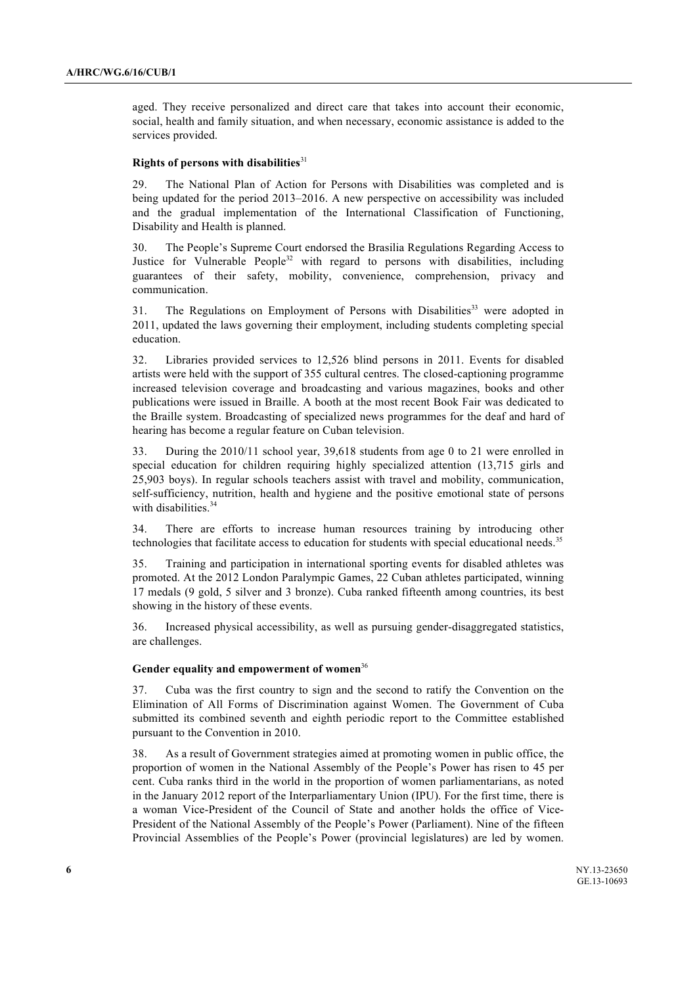aged. They receive personalized and direct care that takes into account their economic, social, health and family situation, and when necessary, economic assistance is added to the services provided.

#### **Rights of persons with disabilities**<sup>31</sup>

29. The National Plan of Action for Persons with Disabilities was completed and is being updated for the period 2013–2016. A new perspective on accessibility was included and the gradual implementation of the International Classification of Functioning, Disability and Health is planned.

30. The People's Supreme Court endorsed the Brasilia Regulations Regarding Access to Justice for Vulnerable People<sup>32</sup> with regard to persons with disabilities, including guarantees of their safety, mobility, convenience, comprehension, privacy and communication.

31. The Regulations on Employment of Persons with Disabilities<sup>33</sup> were adopted in 2011, updated the laws governing their employment, including students completing special education.

32. Libraries provided services to 12,526 blind persons in 2011. Events for disabled artists were held with the support of 355 cultural centres. The closed-captioning programme increased television coverage and broadcasting and various magazines, books and other publications were issued in Braille. A booth at the most recent Book Fair was dedicated to the Braille system. Broadcasting of specialized news programmes for the deaf and hard of hearing has become a regular feature on Cuban television.

33. During the 2010/11 school year, 39,618 students from age 0 to 21 were enrolled in special education for children requiring highly specialized attention (13,715 girls and 25,903 boys). In regular schools teachers assist with travel and mobility, communication, self-sufficiency, nutrition, health and hygiene and the positive emotional state of persons with disabilities.<sup>34</sup>

34. There are efforts to increase human resources training by introducing other technologies that facilitate access to education for students with special educational needs.<sup>35</sup>

35. Training and participation in international sporting events for disabled athletes was promoted. At the 2012 London Paralympic Games, 22 Cuban athletes participated, winning 17 medals (9 gold, 5 silver and 3 bronze). Cuba ranked fifteenth among countries, its best showing in the history of these events.

36. Increased physical accessibility, as well as pursuing gender-disaggregated statistics, are challenges.

#### **Gender equality and empowerment of women**<sup>36</sup>

37. Cuba was the first country to sign and the second to ratify the Convention on the Elimination of All Forms of Discrimination against Women. The Government of Cuba submitted its combined seventh and eighth periodic report to the Committee established pursuant to the Convention in 2010.

38. As a result of Government strategies aimed at promoting women in public office, the proportion of women in the National Assembly of the People's Power has risen to 45 per cent. Cuba ranks third in the world in the proportion of women parliamentarians, as noted in the January 2012 report of the Interparliamentary Union (IPU). For the first time, there is a woman Vice-President of the Council of State and another holds the office of Vice-President of the National Assembly of the People's Power (Parliament). Nine of the fifteen Provincial Assemblies of the People's Power (provincial legislatures) are led by women.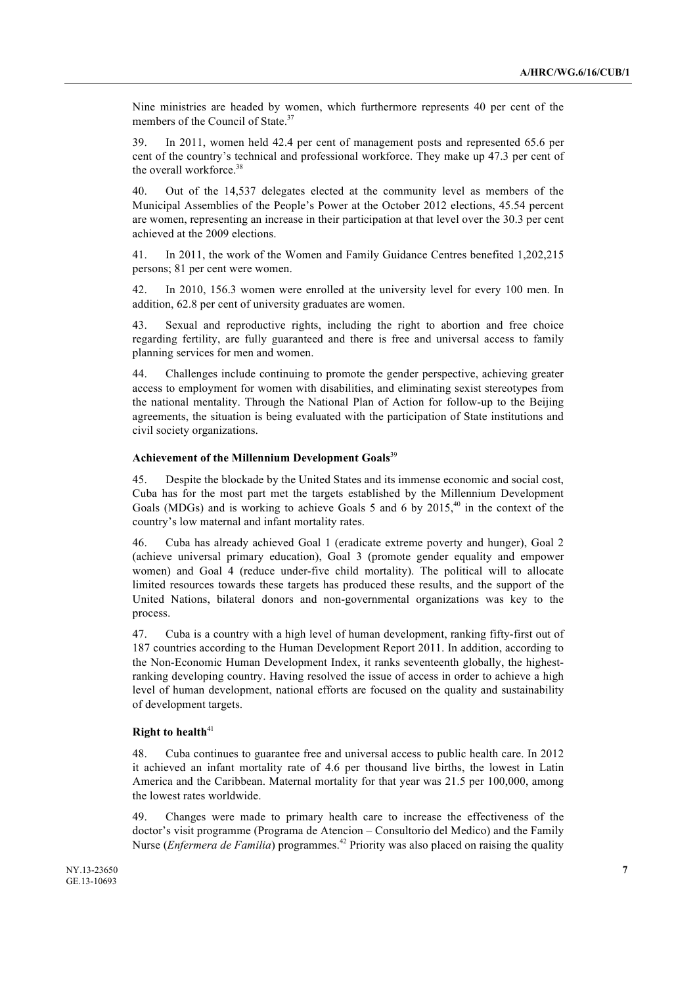Nine ministries are headed by women, which furthermore represents 40 per cent of the members of the Council of State.<sup>37</sup>

39. In 2011, women held 42.4 per cent of management posts and represented 65.6 per cent of the country's technical and professional workforce. They make up 47.3 per cent of the overall workforce.<sup>38</sup>

40. Out of the 14,537 delegates elected at the community level as members of the Municipal Assemblies of the People's Power at the October 2012 elections, 45.54 percent are women, representing an increase in their participation at that level over the 30.3 per cent achieved at the 2009 elections.

41. In 2011, the work of the Women and Family Guidance Centres benefited 1,202,215 persons; 81 per cent were women.

42. In 2010, 156.3 women were enrolled at the university level for every 100 men. In addition, 62.8 per cent of university graduates are women.

43. Sexual and reproductive rights, including the right to abortion and free choice regarding fertility, are fully guaranteed and there is free and universal access to family planning services for men and women.

44. Challenges include continuing to promote the gender perspective, achieving greater access to employment for women with disabilities, and eliminating sexist stereotypes from the national mentality. Through the National Plan of Action for follow-up to the Beijing agreements, the situation is being evaluated with the participation of State institutions and civil society organizations.

## **Achievement of the Millennium Development Goals**<sup>39</sup>

45. Despite the blockade by the United States and its immense economic and social cost, Cuba has for the most part met the targets established by the Millennium Development Goals (MDGs) and is working to achieve Goals 5 and 6 by 2015.<sup>40</sup> in the context of the country's low maternal and infant mortality rates.

46. Cuba has already achieved Goal 1 (eradicate extreme poverty and hunger), Goal 2 (achieve universal primary education), Goal 3 (promote gender equality and empower women) and Goal 4 (reduce under-five child mortality). The political will to allocate limited resources towards these targets has produced these results, and the support of the United Nations, bilateral donors and non-governmental organizations was key to the process.

47. Cuba is a country with a high level of human development, ranking fifty-first out of 187 countries according to the Human Development Report 2011. In addition, according to the Non-Economic Human Development Index, it ranks seventeenth globally, the highestranking developing country. Having resolved the issue of access in order to achieve a high level of human development, national efforts are focused on the quality and sustainability of development targets.

#### **Right to health**<sup>41</sup>

48. Cuba continues to guarantee free and universal access to public health care. In 2012 it achieved an infant mortality rate of 4.6 per thousand live births, the lowest in Latin America and the Caribbean. Maternal mortality for that year was 21.5 per 100,000, among the lowest rates worldwide.

49. Changes were made to primary health care to increase the effectiveness of the doctor's visit programme (Programa de Atencion – Consultorio del Medico) and the Family Nurse (*Enfermera de Familia*) programmes.<sup>42</sup> Priority was also placed on raising the quality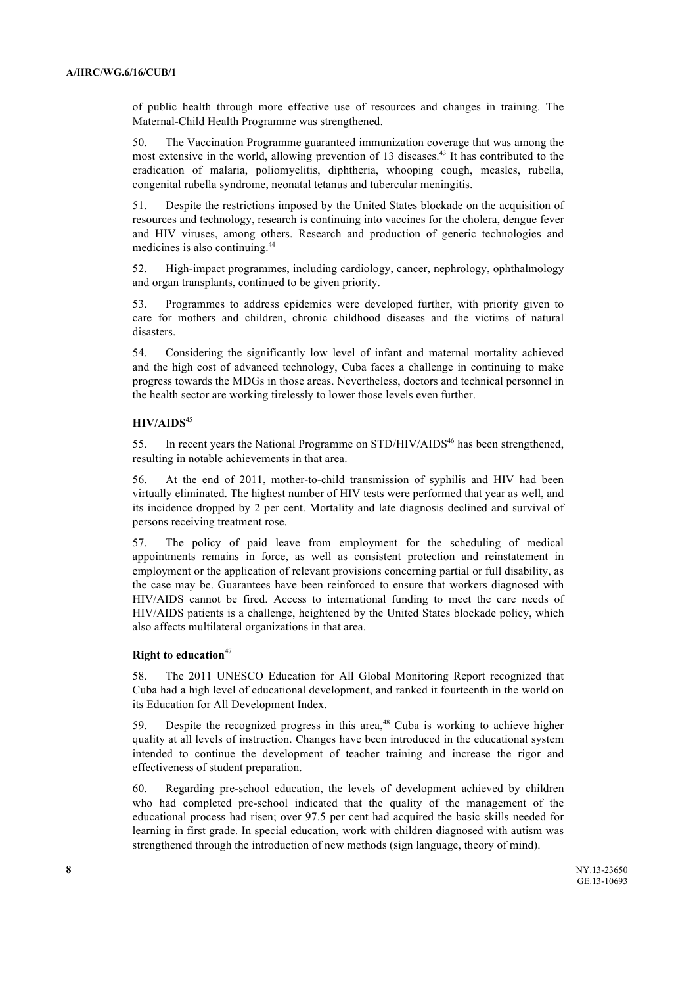of public health through more effective use of resources and changes in training. The Maternal-Child Health Programme was strengthened.

50. The Vaccination Programme guaranteed immunization coverage that was among the most extensive in the world, allowing prevention of 13 diseases.<sup>43</sup> It has contributed to the eradication of malaria, poliomyelitis, diphtheria, whooping cough, measles, rubella, congenital rubella syndrome, neonatal tetanus and tubercular meningitis.

51. Despite the restrictions imposed by the United States blockade on the acquisition of resources and technology, research is continuing into vaccines for the cholera, dengue fever and HIV viruses, among others. Research and production of generic technologies and medicines is also continuing.44

52. High-impact programmes, including cardiology, cancer, nephrology, ophthalmology and organ transplants, continued to be given priority.

53. Programmes to address epidemics were developed further, with priority given to care for mothers and children, chronic childhood diseases and the victims of natural disasters.

54. Considering the significantly low level of infant and maternal mortality achieved and the high cost of advanced technology, Cuba faces a challenge in continuing to make progress towards the MDGs in those areas. Nevertheless, doctors and technical personnel in the health sector are working tirelessly to lower those levels even further.

#### **HIV/AIDS**<sup>45</sup>

55. In recent years the National Programme on STD/HIV/AIDS<sup>46</sup> has been strengthened, resulting in notable achievements in that area.

56. At the end of 2011, mother-to-child transmission of syphilis and HIV had been virtually eliminated. The highest number of HIV tests were performed that year as well, and its incidence dropped by 2 per cent. Mortality and late diagnosis declined and survival of persons receiving treatment rose.

57. The policy of paid leave from employment for the scheduling of medical appointments remains in force, as well as consistent protection and reinstatement in employment or the application of relevant provisions concerning partial or full disability, as the case may be. Guarantees have been reinforced to ensure that workers diagnosed with HIV/AIDS cannot be fired. Access to international funding to meet the care needs of HIV/AIDS patients is a challenge, heightened by the United States blockade policy, which also affects multilateral organizations in that area.

#### **Right to education**<sup>47</sup>

58. The 2011 UNESCO Education for All Global Monitoring Report recognized that Cuba had a high level of educational development, and ranked it fourteenth in the world on its Education for All Development Index.

59. Despite the recognized progress in this area, $48$  Cuba is working to achieve higher quality at all levels of instruction. Changes have been introduced in the educational system intended to continue the development of teacher training and increase the rigor and effectiveness of student preparation.

60. Regarding pre-school education, the levels of development achieved by children who had completed pre-school indicated that the quality of the management of the educational process had risen; over 97.5 per cent had acquired the basic skills needed for learning in first grade. In special education, work with children diagnosed with autism was strengthened through the introduction of new methods (sign language, theory of mind).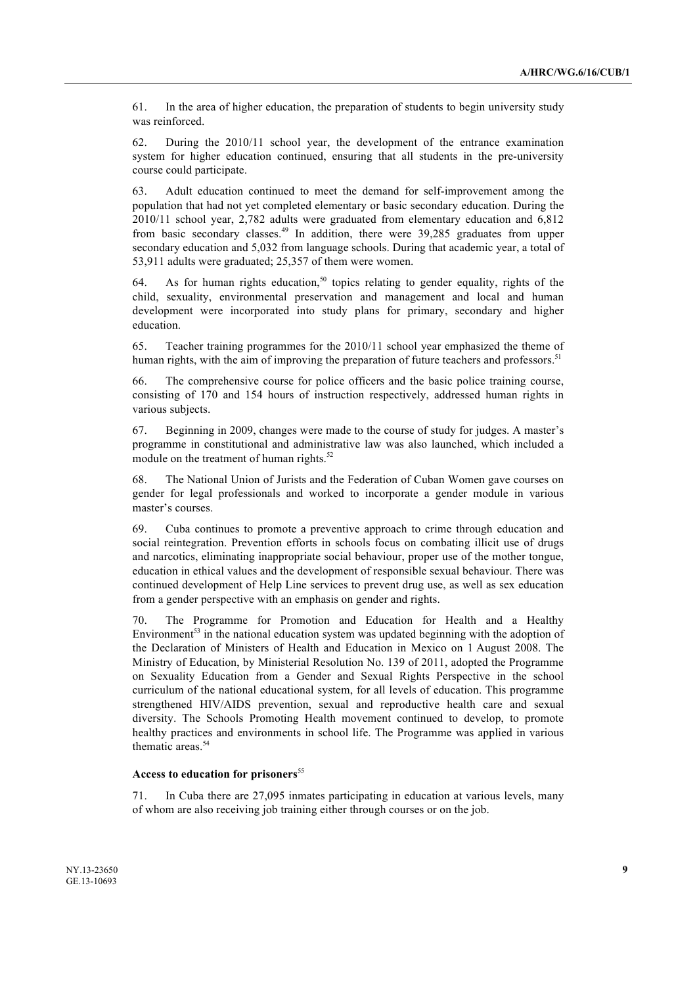61. In the area of higher education, the preparation of students to begin university study was reinforced.

62. During the 2010/11 school year, the development of the entrance examination system for higher education continued, ensuring that all students in the pre-university course could participate.

63. Adult education continued to meet the demand for self-improvement among the population that had not yet completed elementary or basic secondary education. During the 2010/11 school year, 2,782 adults were graduated from elementary education and 6,812 from basic secondary classes. $49$  In addition, there were 39,285 graduates from upper secondary education and 5,032 from language schools. During that academic year, a total of 53,911 adults were graduated; 25,357 of them were women.

64. As for human rights education,<sup>50</sup> topics relating to gender equality, rights of the child, sexuality, environmental preservation and management and local and human development were incorporated into study plans for primary, secondary and higher education.

65. Teacher training programmes for the 2010/11 school year emphasized the theme of human rights, with the aim of improving the preparation of future teachers and professors.<sup>51</sup>

66. The comprehensive course for police officers and the basic police training course, consisting of 170 and 154 hours of instruction respectively, addressed human rights in various subjects.

67. Beginning in 2009, changes were made to the course of study for judges. A master's programme in constitutional and administrative law was also launched, which included a module on the treatment of human rights. $52$ 

68. The National Union of Jurists and the Federation of Cuban Women gave courses on gender for legal professionals and worked to incorporate a gender module in various master's courses.

69. Cuba continues to promote a preventive approach to crime through education and social reintegration. Prevention efforts in schools focus on combating illicit use of drugs and narcotics, eliminating inappropriate social behaviour, proper use of the mother tongue, education in ethical values and the development of responsible sexual behaviour. There was continued development of Help Line services to prevent drug use, as well as sex education from a gender perspective with an emphasis on gender and rights.

70. The Programme for Promotion and Education for Health and a Healthy Environment<sup>53</sup> in the national education system was updated beginning with the adoption of the Declaration of Ministers of Health and Education in Mexico on 1 August 2008. The Ministry of Education, by Ministerial Resolution No. 139 of 2011, adopted the Programme on Sexuality Education from a Gender and Sexual Rights Perspective in the school curriculum of the national educational system, for all levels of education. This programme strengthened HIV/AIDS prevention, sexual and reproductive health care and sexual diversity. The Schools Promoting Health movement continued to develop, to promote healthy practices and environments in school life. The Programme was applied in various thematic areas.<sup>54</sup>

## Access to education for prisoners<sup>55</sup>

71. In Cuba there are 27,095 inmates participating in education at various levels, many of whom are also receiving job training either through courses or on the job.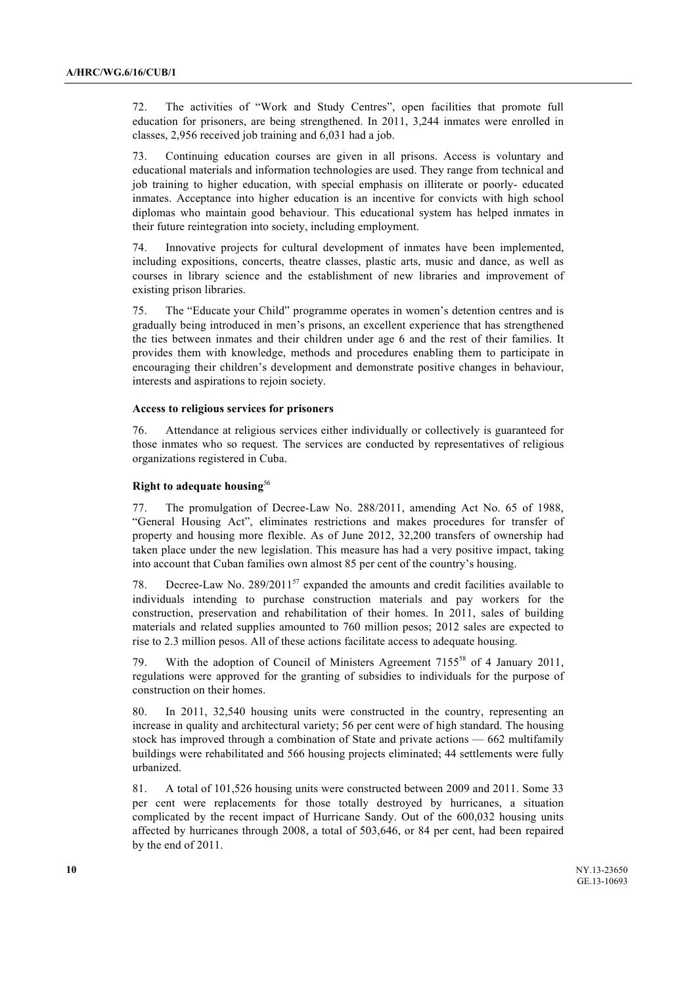72. The activities of "Work and Study Centres", open facilities that promote full education for prisoners, are being strengthened. In 2011, 3,244 inmates were enrolled in classes, 2,956 received job training and 6,031 had a job.

73. Continuing education courses are given in all prisons. Access is voluntary and educational materials and information technologies are used. They range from technical and job training to higher education, with special emphasis on illiterate or poorly- educated inmates. Acceptance into higher education is an incentive for convicts with high school diplomas who maintain good behaviour. This educational system has helped inmates in their future reintegration into society, including employment.

74. Innovative projects for cultural development of inmates have been implemented, including expositions, concerts, theatre classes, plastic arts, music and dance, as well as courses in library science and the establishment of new libraries and improvement of existing prison libraries.

75. The "Educate your Child" programme operates in women's detention centres and is gradually being introduced in men's prisons, an excellent experience that has strengthened the ties between inmates and their children under age 6 and the rest of their families. It provides them with knowledge, methods and procedures enabling them to participate in encouraging their children's development and demonstrate positive changes in behaviour, interests and aspirations to rejoin society.

#### **Access to religious services for prisoners**

76. Attendance at religious services either individually or collectively is guaranteed for those inmates who so request. The services are conducted by representatives of religious organizations registered in Cuba.

# **Right to adequate housing**<sup>56</sup>

77. The promulgation of Decree-Law No. 288/2011, amending Act No. 65 of 1988, "General Housing Act", eliminates restrictions and makes procedures for transfer of property and housing more flexible. As of June 2012, 32,200 transfers of ownership had taken place under the new legislation. This measure has had a very positive impact, taking into account that Cuban families own almost 85 per cent of the country's housing.

78. Decree-Law No.  $289/2011^{57}$  expanded the amounts and credit facilities available to individuals intending to purchase construction materials and pay workers for the construction, preservation and rehabilitation of their homes. In 2011, sales of building materials and related supplies amounted to 760 million pesos; 2012 sales are expected to rise to 2.3 million pesos. All of these actions facilitate access to adequate housing.

79. With the adoption of Council of Ministers Agreement 7155<sup>58</sup> of 4 January 2011, regulations were approved for the granting of subsidies to individuals for the purpose of construction on their homes.

80. In 2011, 32,540 housing units were constructed in the country, representing an increase in quality and architectural variety; 56 per cent were of high standard. The housing stock has improved through a combination of State and private actions — 662 multifamily buildings were rehabilitated and 566 housing projects eliminated; 44 settlements were fully urbanized.

81. A total of 101,526 housing units were constructed between 2009 and 2011. Some 33 per cent were replacements for those totally destroyed by hurricanes, a situation complicated by the recent impact of Hurricane Sandy. Out of the 600,032 housing units affected by hurricanes through 2008, a total of 503,646, or 84 per cent, had been repaired by the end of 2011.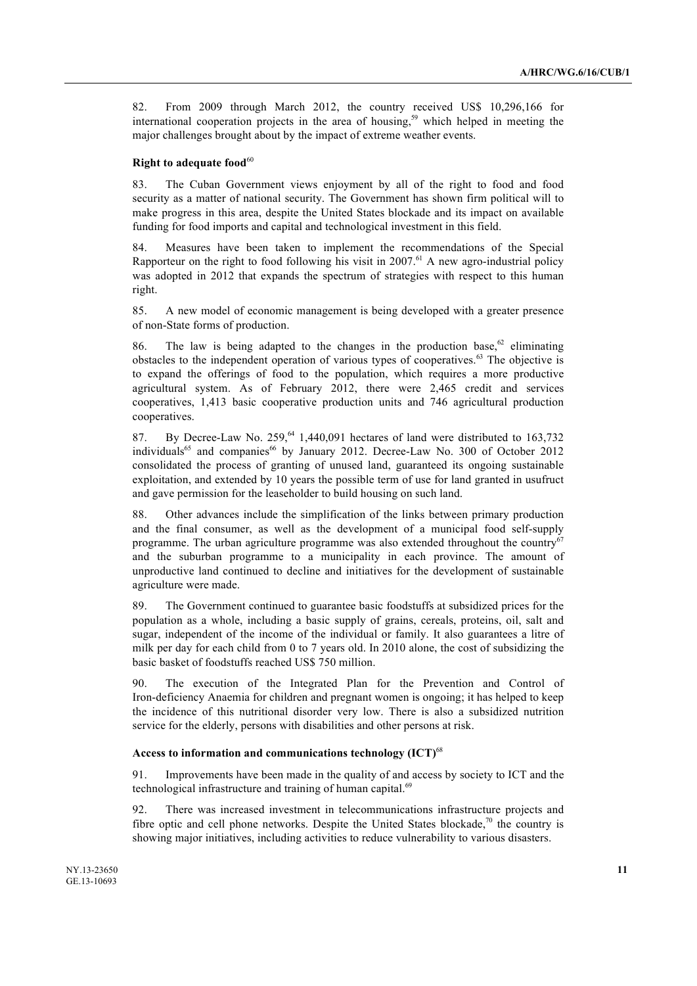82. From 2009 through March 2012, the country received US\$ 10,296,166 for international cooperation projects in the area of housing,<sup>59</sup> which helped in meeting the major challenges brought about by the impact of extreme weather events.

#### **Right to adequate food**<sup>60</sup>

83. The Cuban Government views enjoyment by all of the right to food and food security as a matter of national security. The Government has shown firm political will to make progress in this area, despite the United States blockade and its impact on available funding for food imports and capital and technological investment in this field.

84. Measures have been taken to implement the recommendations of the Special Rapporteur on the right to food following his visit in 2007.<sup>61</sup> A new agro-industrial policy was adopted in 2012 that expands the spectrum of strategies with respect to this human right.

85. A new model of economic management is being developed with a greater presence of non-State forms of production.

86. The law is being adapted to the changes in the production base,  $62$  eliminating obstacles to the independent operation of various types of cooperatives.<sup>63</sup> The objective is to expand the offerings of food to the population, which requires a more productive agricultural system. As of February 2012, there were 2,465 credit and services cooperatives, 1,413 basic cooperative production units and 746 agricultural production cooperatives.

87. By Decree-Law No. 259.<sup>64</sup> 1,440,091 hectares of land were distributed to 163,732 individuals<sup>65</sup> and companies<sup>66</sup> by January 2012. Decree-Law No. 300 of October 2012 consolidated the process of granting of unused land, guaranteed its ongoing sustainable exploitation, and extended by 10 years the possible term of use for land granted in usufruct and gave permission for the leaseholder to build housing on such land.

88. Other advances include the simplification of the links between primary production and the final consumer, as well as the development of a municipal food self-supply programme. The urban agriculture programme was also extended throughout the country $67$ and the suburban programme to a municipality in each province. The amount of unproductive land continued to decline and initiatives for the development of sustainable agriculture were made.

89. The Government continued to guarantee basic foodstuffs at subsidized prices for the population as a whole, including a basic supply of grains, cereals, proteins, oil, salt and sugar, independent of the income of the individual or family. It also guarantees a litre of milk per day for each child from 0 to 7 years old. In 2010 alone, the cost of subsidizing the basic basket of foodstuffs reached US\$ 750 million.

90. The execution of the Integrated Plan for the Prevention and Control of Iron-deficiency Anaemia for children and pregnant women is ongoing; it has helped to keep the incidence of this nutritional disorder very low. There is also a subsidized nutrition service for the elderly, persons with disabilities and other persons at risk.

### **Access to information and communications technology (ICT)**<sup>68</sup>

91. Improvements have been made in the quality of and access by society to ICT and the technological infrastructure and training of human capital.<sup>69</sup>

92. There was increased investment in telecommunications infrastructure projects and fibre optic and cell phone networks. Despite the United States blockade, $\frac{70}{10}$  the country is showing major initiatives, including activities to reduce vulnerability to various disasters.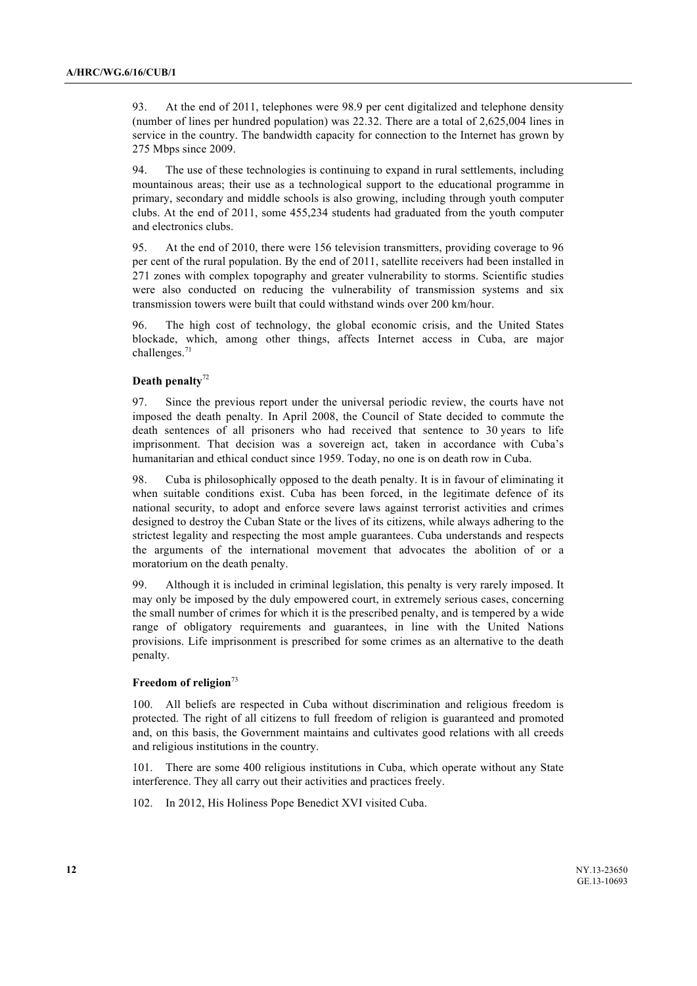93. At the end of 2011, telephones were 98.9 per cent digitalized and telephone density (number of lines per hundred population) was 22.32. There are a total of 2,625,004 lines in service in the country. The bandwidth capacity for connection to the Internet has grown by 275 Mbps since 2009.

94. The use of these technologies is continuing to expand in rural settlements, including mountainous areas; their use as a technological support to the educational programme in primary, secondary and middle schools is also growing, including through youth computer clubs. At the end of 2011, some 455,234 students had graduated from the youth computer and electronics clubs.

95. At the end of 2010, there were 156 television transmitters, providing coverage to 96 per cent of the rural population. By the end of 2011, satellite receivers had been installed in 271 zones with complex topography and greater vulnerability to storms. Scientific studies were also conducted on reducing the vulnerability of transmission systems and six transmission towers were built that could withstand winds over 200 km/hour.

96. The high cost of technology, the global economic crisis, and the United States blockade, which, among other things, affects Internet access in Cuba, are major challenges.<sup>71</sup>

# **Death penalty**<sup>72</sup>

97. Since the previous report under the universal periodic review, the courts have not imposed the death penalty. In April 2008, the Council of State decided to commute the death sentences of all prisoners who had received that sentence to 30 years to life imprisonment. That decision was a sovereign act, taken in accordance with Cuba's humanitarian and ethical conduct since 1959. Today, no one is on death row in Cuba.

98. Cuba is philosophically opposed to the death penalty. It is in favour of eliminating it when suitable conditions exist. Cuba has been forced, in the legitimate defence of its national security, to adopt and enforce severe laws against terrorist activities and crimes designed to destroy the Cuban State or the lives of its citizens, while always adhering to the strictest legality and respecting the most ample guarantees. Cuba understands and respects the arguments of the international movement that advocates the abolition of or a moratorium on the death penalty.

99. Although it is included in criminal legislation, this penalty is very rarely imposed. It may only be imposed by the duly empowered court, in extremely serious cases, concerning the small number of crimes for which it is the prescribed penalty, and is tempered by a wide range of obligatory requirements and guarantees, in line with the United Nations provisions. Life imprisonment is prescribed for some crimes as an alternative to the death penalty.

#### **Freedom of religion**<sup>73</sup>

100. All beliefs are respected in Cuba without discrimination and religious freedom is protected. The right of all citizens to full freedom of religion is guaranteed and promoted and, on this basis, the Government maintains and cultivates good relations with all creeds and religious institutions in the country.

101. There are some 400 religious institutions in Cuba, which operate without any State interference. They all carry out their activities and practices freely.

102. In 2012, His Holiness Pope Benedict XVI visited Cuba.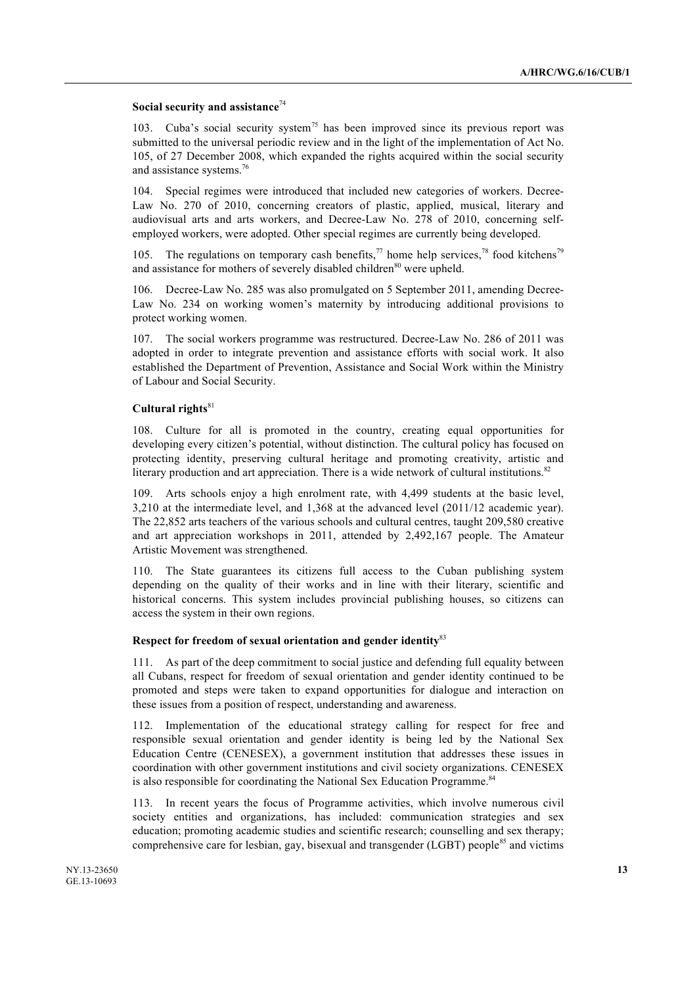# **Social security and assistance**<sup>74</sup>

103. Cuba's social security system<sup>75</sup> has been improved since its previous report was submitted to the universal periodic review and in the light of the implementation of Act No. 105, of 27 December 2008, which expanded the rights acquired within the social security and assistance systems.<sup>76</sup>

104. Special regimes were introduced that included new categories of workers. Decree-Law No. 270 of 2010, concerning creators of plastic, applied, musical, literary and audiovisual arts and arts workers, and Decree-Law No. 278 of 2010, concerning selfemployed workers, were adopted. Other special regimes are currently being developed.

105. The regulations on temporary cash benefits,<sup>77</sup> home help services,<sup>78</sup> food kitchens<sup>79</sup> and assistance for mothers of severely disabled children<sup>80</sup> were upheld.

106. Decree-Law No. 285 was also promulgated on 5 September 2011, amending Decree-Law No. 234 on working women's maternity by introducing additional provisions to protect working women.

107. The social workers programme was restructured. Decree-Law No. 286 of 2011 was adopted in order to integrate prevention and assistance efforts with social work. It also established the Department of Prevention, Assistance and Social Work within the Ministry of Labour and Social Security.

# **Cultural rights**<sup>81</sup>

108. Culture for all is promoted in the country, creating equal opportunities for developing every citizen's potential, without distinction. The cultural policy has focused on protecting identity, preserving cultural heritage and promoting creativity, artistic and literary production and art appreciation. There is a wide network of cultural institutions.<sup>82</sup>

109. Arts schools enjoy a high enrolment rate, with 4,499 students at the basic level, 3,210 at the intermediate level, and 1,368 at the advanced level (2011/12 academic year). The 22,852 arts teachers of the various schools and cultural centres, taught 209,580 creative and art appreciation workshops in 2011, attended by 2,492,167 people. The Amateur Artistic Movement was strengthened.

110. The State guarantees its citizens full access to the Cuban publishing system depending on the quality of their works and in line with their literary, scientific and historical concerns. This system includes provincial publishing houses, so citizens can access the system in their own regions.

# **Respect for freedom of sexual orientation and gender identity**<sup>83</sup>

111. As part of the deep commitment to social justice and defending full equality between all Cubans, respect for freedom of sexual orientation and gender identity continued to be promoted and steps were taken to expand opportunities for dialogue and interaction on these issues from a position of respect, understanding and awareness.

112. Implementation of the educational strategy calling for respect for free and responsible sexual orientation and gender identity is being led by the National Sex Education Centre (CENESEX), a government institution that addresses these issues in coordination with other government institutions and civil society organizations. CENESEX is also responsible for coordinating the National Sex Education Programme.<sup>84</sup>

113. In recent years the focus of Programme activities, which involve numerous civil society entities and organizations, has included: communication strategies and sex education; promoting academic studies and scientific research; counselling and sex therapy; comprehensive care for lesbian, gay, bisexual and transgender ( $LGBT$ ) people<sup>85</sup> and victims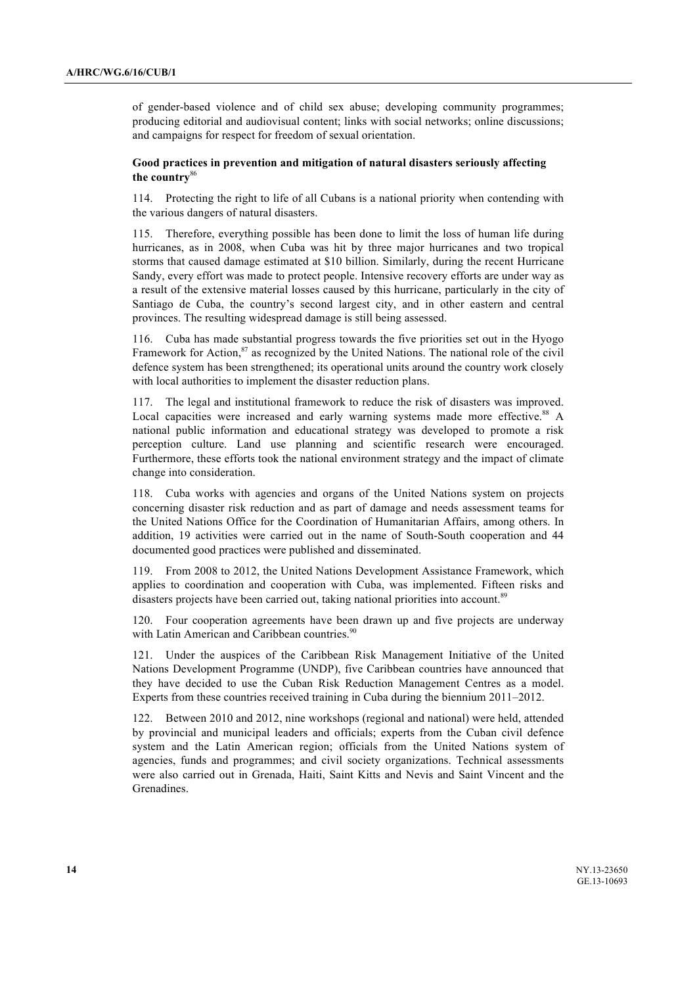of gender-based violence and of child sex abuse; developing community programmes; producing editorial and audiovisual content; links with social networks; online discussions; and campaigns for respect for freedom of sexual orientation.

# **Good practices in prevention and mitigation of natural disasters seriously affecting the country**<sup>86</sup>

114. Protecting the right to life of all Cubans is a national priority when contending with the various dangers of natural disasters.

115. Therefore, everything possible has been done to limit the loss of human life during hurricanes, as in 2008, when Cuba was hit by three major hurricanes and two tropical storms that caused damage estimated at \$10 billion. Similarly, during the recent Hurricane Sandy, every effort was made to protect people. Intensive recovery efforts are under way as a result of the extensive material losses caused by this hurricane, particularly in the city of Santiago de Cuba, the country's second largest city, and in other eastern and central provinces. The resulting widespread damage is still being assessed.

116. Cuba has made substantial progress towards the five priorities set out in the Hyogo Framework for Action,<sup>87</sup> as recognized by the United Nations. The national role of the civil defence system has been strengthened; its operational units around the country work closely with local authorities to implement the disaster reduction plans.

117. The legal and institutional framework to reduce the risk of disasters was improved. Local capacities were increased and early warning systems made more effective.<sup>88</sup> A national public information and educational strategy was developed to promote a risk perception culture. Land use planning and scientific research were encouraged. Furthermore, these efforts took the national environment strategy and the impact of climate change into consideration.

118. Cuba works with agencies and organs of the United Nations system on projects concerning disaster risk reduction and as part of damage and needs assessment teams for the United Nations Office for the Coordination of Humanitarian Affairs, among others. In addition, 19 activities were carried out in the name of South-South cooperation and 44 documented good practices were published and disseminated.

119. From 2008 to 2012, the United Nations Development Assistance Framework, which applies to coordination and cooperation with Cuba, was implemented. Fifteen risks and disasters projects have been carried out, taking national priorities into account.<sup>89</sup>

120. Four cooperation agreements have been drawn up and five projects are underway with Latin American and Caribbean countries.<sup>90</sup>

121. Under the auspices of the Caribbean Risk Management Initiative of the United Nations Development Programme (UNDP), five Caribbean countries have announced that they have decided to use the Cuban Risk Reduction Management Centres as a model. Experts from these countries received training in Cuba during the biennium 2011–2012.

122. Between 2010 and 2012, nine workshops (regional and national) were held, attended by provincial and municipal leaders and officials; experts from the Cuban civil defence system and the Latin American region; officials from the United Nations system of agencies, funds and programmes; and civil society organizations. Technical assessments were also carried out in Grenada, Haiti, Saint Kitts and Nevis and Saint Vincent and the Grenadines.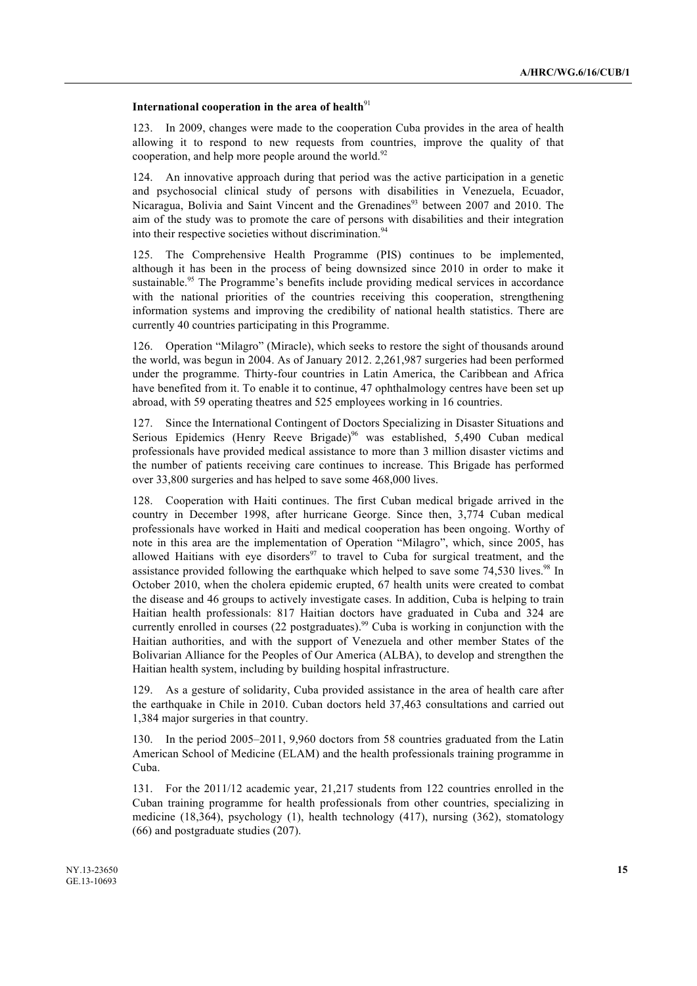# International cooperation in the area of health<sup>91</sup>

123. In 2009, changes were made to the cooperation Cuba provides in the area of health allowing it to respond to new requests from countries, improve the quality of that cooperation, and help more people around the world.<sup>92</sup>

124. An innovative approach during that period was the active participation in a genetic and psychosocial clinical study of persons with disabilities in Venezuela, Ecuador, Nicaragua, Bolivia and Saint Vincent and the Grenadines<sup>93</sup> between 2007 and 2010. The aim of the study was to promote the care of persons with disabilities and their integration into their respective societies without discrimination.<sup>94</sup>

125. The Comprehensive Health Programme (PIS) continues to be implemented, although it has been in the process of being downsized since 2010 in order to make it sustainable.<sup>95</sup> The Programme's benefits include providing medical services in accordance with the national priorities of the countries receiving this cooperation, strengthening information systems and improving the credibility of national health statistics. There are currently 40 countries participating in this Programme.

126. Operation "Milagro" (Miracle), which seeks to restore the sight of thousands around the world, was begun in 2004. As of January 2012. 2,261,987 surgeries had been performed under the programme. Thirty-four countries in Latin America, the Caribbean and Africa have benefited from it. To enable it to continue, 47 ophthalmology centres have been set up abroad, with 59 operating theatres and 525 employees working in 16 countries.

127. Since the International Contingent of Doctors Specializing in Disaster Situations and Serious Epidemics (Henry Reeve Brigade)<sup>96</sup> was established, 5,490 Cuban medical professionals have provided medical assistance to more than 3 million disaster victims and the number of patients receiving care continues to increase. This Brigade has performed over 33,800 surgeries and has helped to save some 468,000 lives.

128. Cooperation with Haiti continues. The first Cuban medical brigade arrived in the country in December 1998, after hurricane George. Since then, 3,774 Cuban medical professionals have worked in Haiti and medical cooperation has been ongoing. Worthy of note in this area are the implementation of Operation "Milagro", which, since 2005, has allowed Haitians with eye disorders $97$  to travel to Cuba for surgical treatment, and the assistance provided following the earthquake which helped to save some  $74,530$  lives.<sup>98</sup> In October 2010, when the cholera epidemic erupted, 67 health units were created to combat the disease and 46 groups to actively investigate cases. In addition, Cuba is helping to train Haitian health professionals: 817 Haitian doctors have graduated in Cuba and 324 are currently enrolled in courses (22 postgraduates).<sup>99</sup> Cuba is working in conjunction with the Haitian authorities, and with the support of Venezuela and other member States of the Bolivarian Alliance for the Peoples of Our America (ALBA), to develop and strengthen the Haitian health system, including by building hospital infrastructure.

129. As a gesture of solidarity, Cuba provided assistance in the area of health care after the earthquake in Chile in 2010. Cuban doctors held 37,463 consultations and carried out 1,384 major surgeries in that country.

130. In the period 2005–2011, 9,960 doctors from 58 countries graduated from the Latin American School of Medicine (ELAM) and the health professionals training programme in Cuba.

131. For the 2011/12 academic year, 21,217 students from 122 countries enrolled in the Cuban training programme for health professionals from other countries, specializing in medicine (18,364), psychology (1), health technology (417), nursing (362), stomatology (66) and postgraduate studies (207).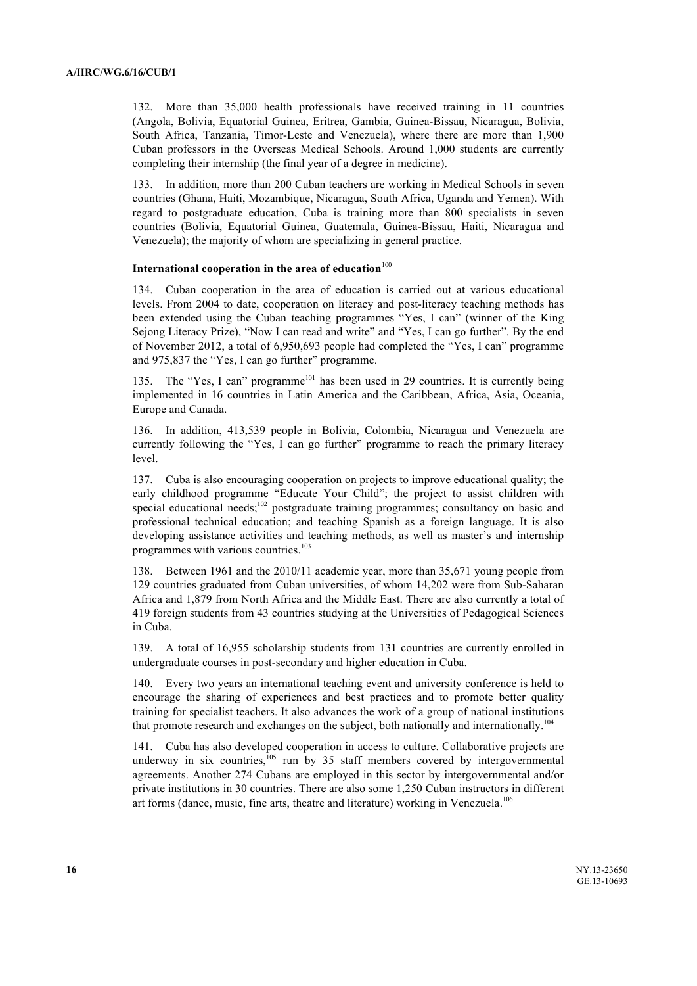132. More than 35,000 health professionals have received training in 11 countries (Angola, Bolivia, Equatorial Guinea, Eritrea, Gambia, Guinea-Bissau, Nicaragua, Bolivia, South Africa, Tanzania, Timor-Leste and Venezuela), where there are more than 1,900 Cuban professors in the Overseas Medical Schools. Around 1,000 students are currently completing their internship (the final year of a degree in medicine).

133. In addition, more than 200 Cuban teachers are working in Medical Schools in seven countries (Ghana, Haiti, Mozambique, Nicaragua, South Africa, Uganda and Yemen). With regard to postgraduate education, Cuba is training more than 800 specialists in seven countries (Bolivia, Equatorial Guinea, Guatemala, Guinea-Bissau, Haiti, Nicaragua and Venezuela); the majority of whom are specializing in general practice.

# **International cooperation in the area of education**<sup>100</sup>

134. Cuban cooperation in the area of education is carried out at various educational levels. From 2004 to date, cooperation on literacy and post-literacy teaching methods has been extended using the Cuban teaching programmes "Yes, I can" (winner of the King Sejong Literacy Prize), "Now I can read and write" and "Yes, I can go further". By the end of November 2012, a total of 6,950,693 people had completed the "Yes, I can" programme and 975,837 the "Yes, I can go further" programme.

The "Yes, I can" programme<sup>101</sup> has been used in 29 countries. It is currently being implemented in 16 countries in Latin America and the Caribbean, Africa, Asia, Oceania, Europe and Canada.

136. In addition, 413,539 people in Bolivia, Colombia, Nicaragua and Venezuela are currently following the "Yes, I can go further" programme to reach the primary literacy level.

137. Cuba is also encouraging cooperation on projects to improve educational quality; the early childhood programme "Educate Your Child"; the project to assist children with special educational needs; $102$  postgraduate training programmes; consultancy on basic and professional technical education; and teaching Spanish as a foreign language. It is also developing assistance activities and teaching methods, as well as master's and internship programmes with various countries.<sup>103</sup>

138. Between 1961 and the 2010/11 academic year, more than 35,671 young people from 129 countries graduated from Cuban universities, of whom 14,202 were from Sub-Saharan Africa and 1,879 from North Africa and the Middle East. There are also currently a total of 419 foreign students from 43 countries studying at the Universities of Pedagogical Sciences in Cuba.

139. A total of 16,955 scholarship students from 131 countries are currently enrolled in undergraduate courses in post-secondary and higher education in Cuba.

140. Every two years an international teaching event and university conference is held to encourage the sharing of experiences and best practices and to promote better quality training for specialist teachers. It also advances the work of a group of national institutions that promote research and exchanges on the subject, both nationally and internationally.<sup>104</sup>

141. Cuba has also developed cooperation in access to culture. Collaborative projects are underway in six countries, $105$  run by 35 staff members covered by intergovernmental agreements. Another 274 Cubans are employed in this sector by intergovernmental and/or private institutions in 30 countries. There are also some 1,250 Cuban instructors in different art forms (dance, music, fine arts, theatre and literature) working in Venezuela.<sup>106</sup>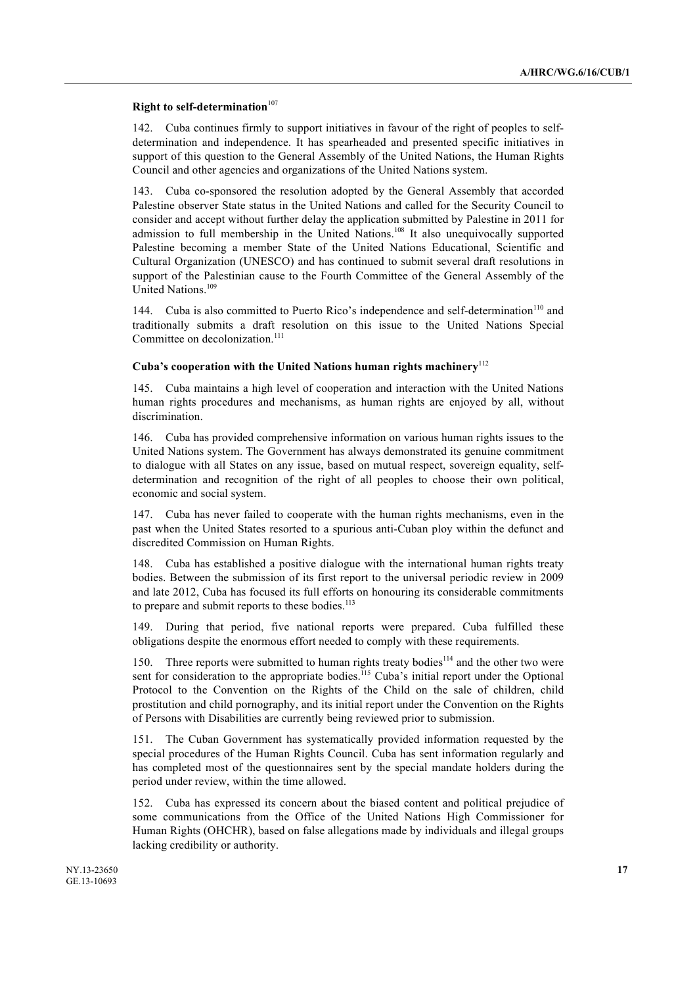# **Right to self-determination**<sup>107</sup>

142. Cuba continues firmly to support initiatives in favour of the right of peoples to selfdetermination and independence. It has spearheaded and presented specific initiatives in support of this question to the General Assembly of the United Nations, the Human Rights Council and other agencies and organizations of the United Nations system.

143. Cuba co-sponsored the resolution adopted by the General Assembly that accorded Palestine observer State status in the United Nations and called for the Security Council to consider and accept without further delay the application submitted by Palestine in 2011 for admission to full membership in the United Nations.<sup>108</sup> It also unequivocally supported Palestine becoming a member State of the United Nations Educational, Scientific and Cultural Organization (UNESCO) and has continued to submit several draft resolutions in support of the Palestinian cause to the Fourth Committee of the General Assembly of the United Nations.<sup>109</sup>

144. Cuba is also committed to Puerto Rico's independence and self-determination<sup>110</sup> and traditionally submits a draft resolution on this issue to the United Nations Special Committee on decolonization.<sup>111</sup>

### **Cuba's cooperation with the United Nations human rights machinery**<sup>112</sup>

145. Cuba maintains a high level of cooperation and interaction with the United Nations human rights procedures and mechanisms, as human rights are enjoyed by all, without discrimination.

146. Cuba has provided comprehensive information on various human rights issues to the United Nations system. The Government has always demonstrated its genuine commitment to dialogue with all States on any issue, based on mutual respect, sovereign equality, selfdetermination and recognition of the right of all peoples to choose their own political, economic and social system.

147. Cuba has never failed to cooperate with the human rights mechanisms, even in the past when the United States resorted to a spurious anti-Cuban ploy within the defunct and discredited Commission on Human Rights.

148. Cuba has established a positive dialogue with the international human rights treaty bodies. Between the submission of its first report to the universal periodic review in 2009 and late 2012, Cuba has focused its full efforts on honouring its considerable commitments to prepare and submit reports to these bodies.<sup>113</sup>

149. During that period, five national reports were prepared. Cuba fulfilled these obligations despite the enormous effort needed to comply with these requirements.

150. Three reports were submitted to human rights treaty bodies<sup>114</sup> and the other two were sent for consideration to the appropriate bodies.<sup>115</sup> Cuba's initial report under the Optional Protocol to the Convention on the Rights of the Child on the sale of children, child prostitution and child pornography, and its initial report under the Convention on the Rights of Persons with Disabilities are currently being reviewed prior to submission.

151. The Cuban Government has systematically provided information requested by the special procedures of the Human Rights Council. Cuba has sent information regularly and has completed most of the questionnaires sent by the special mandate holders during the period under review, within the time allowed.

152. Cuba has expressed its concern about the biased content and political prejudice of some communications from the Office of the United Nations High Commissioner for Human Rights (OHCHR), based on false allegations made by individuals and illegal groups lacking credibility or authority.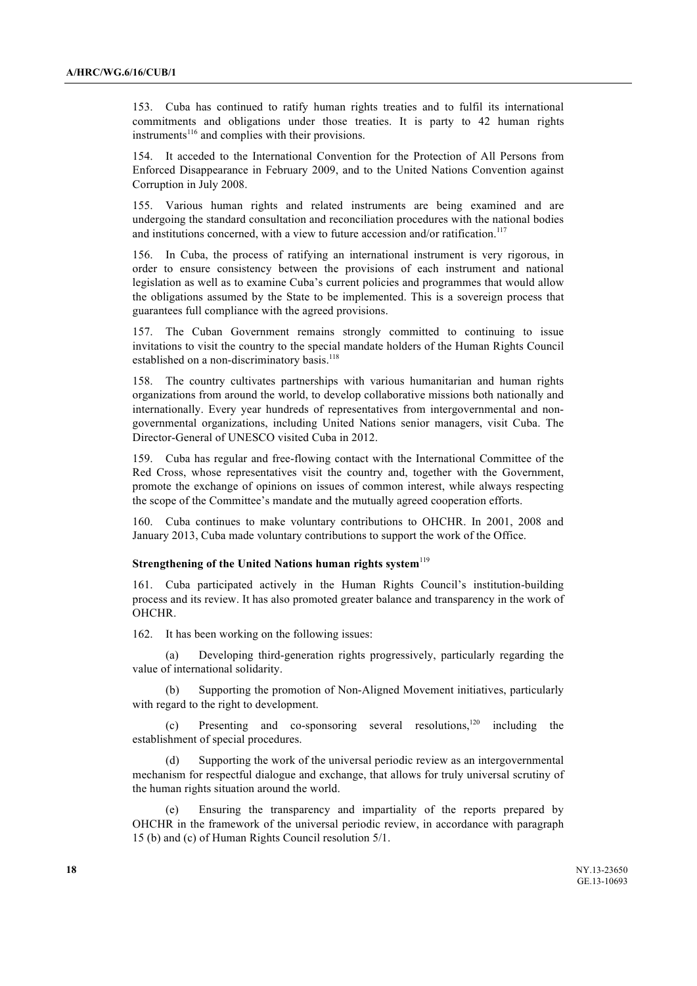153. Cuba has continued to ratify human rights treaties and to fulfil its international commitments and obligations under those treaties. It is party to 42 human rights instruments<sup>116</sup> and complies with their provisions.

154. It acceded to the International Convention for the Protection of All Persons from Enforced Disappearance in February 2009, and to the United Nations Convention against Corruption in July 2008.

155. Various human rights and related instruments are being examined and are undergoing the standard consultation and reconciliation procedures with the national bodies and institutions concerned, with a view to future accession and/or ratification.<sup>117</sup>

156. In Cuba, the process of ratifying an international instrument is very rigorous, in order to ensure consistency between the provisions of each instrument and national legislation as well as to examine Cuba's current policies and programmes that would allow the obligations assumed by the State to be implemented. This is a sovereign process that guarantees full compliance with the agreed provisions.

157. The Cuban Government remains strongly committed to continuing to issue invitations to visit the country to the special mandate holders of the Human Rights Council established on a non-discriminatory basis.<sup>118</sup>

158. The country cultivates partnerships with various humanitarian and human rights organizations from around the world, to develop collaborative missions both nationally and internationally. Every year hundreds of representatives from intergovernmental and nongovernmental organizations, including United Nations senior managers, visit Cuba. The Director-General of UNESCO visited Cuba in 2012.

159. Cuba has regular and free-flowing contact with the International Committee of the Red Cross, whose representatives visit the country and, together with the Government, promote the exchange of opinions on issues of common interest, while always respecting the scope of the Committee's mandate and the mutually agreed cooperation efforts.

160. Cuba continues to make voluntary contributions to OHCHR. In 2001, 2008 and January 2013, Cuba made voluntary contributions to support the work of the Office.

# **Strengthening of the United Nations human rights system**<sup>119</sup>

161. Cuba participated actively in the Human Rights Council's institution-building process and its review. It has also promoted greater balance and transparency in the work of OHCHR.

162. It has been working on the following issues:

(a) Developing third-generation rights progressively, particularly regarding the value of international solidarity.

(b) Supporting the promotion of Non-Aligned Movement initiatives, particularly with regard to the right to development.

(c) Presenting and co-sponsoring several resolutions,120 including the establishment of special procedures.

(d) Supporting the work of the universal periodic review as an intergovernmental mechanism for respectful dialogue and exchange, that allows for truly universal scrutiny of the human rights situation around the world.

(e) Ensuring the transparency and impartiality of the reports prepared by OHCHR in the framework of the universal periodic review, in accordance with paragraph 15 (b) and (c) of Human Rights Council resolution 5/1.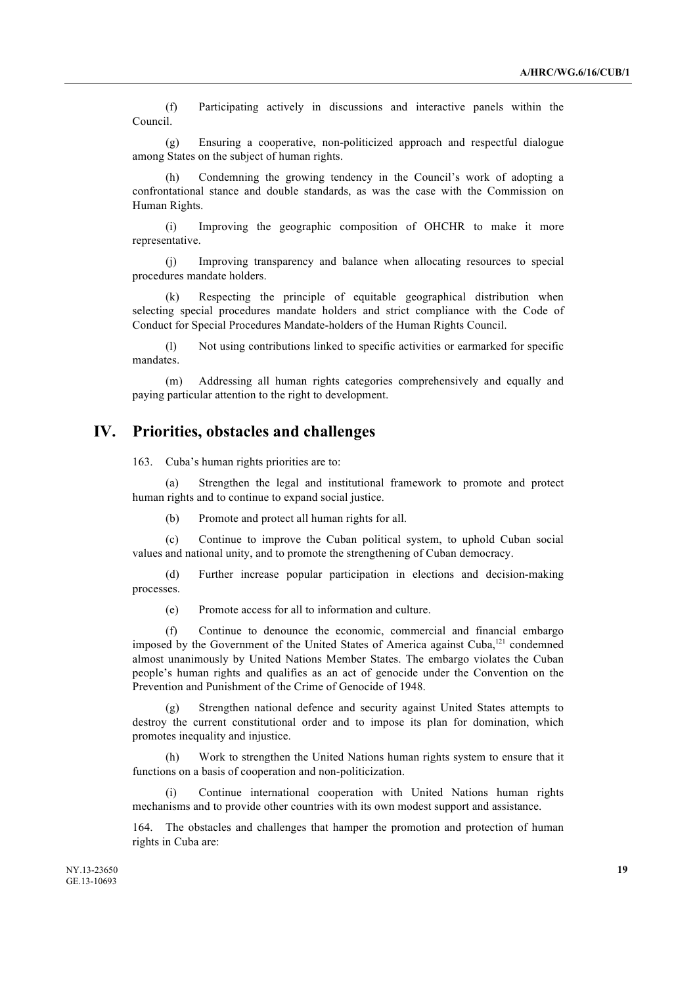(f) Participating actively in discussions and interactive panels within the Council.

(g) Ensuring a cooperative, non-politicized approach and respectful dialogue among States on the subject of human rights.

Condemning the growing tendency in the Council's work of adopting a confrontational stance and double standards, as was the case with the Commission on Human Rights.

(i) Improving the geographic composition of OHCHR to make it more representative.

(j) Improving transparency and balance when allocating resources to special procedures mandate holders.

(k) Respecting the principle of equitable geographical distribution when selecting special procedures mandate holders and strict compliance with the Code of Conduct for Special Procedures Mandate-holders of the Human Rights Council.

(l) Not using contributions linked to specific activities or earmarked for specific mandates.

(m) Addressing all human rights categories comprehensively and equally and paying particular attention to the right to development.

# **IV. Priorities, obstacles and challenges**

163. Cuba's human rights priorities are to:

(a) Strengthen the legal and institutional framework to promote and protect human rights and to continue to expand social justice.

(b) Promote and protect all human rights for all.

(c) Continue to improve the Cuban political system, to uphold Cuban social values and national unity, and to promote the strengthening of Cuban democracy.

(d) Further increase popular participation in elections and decision-making processes.

(e) Promote access for all to information and culture.

(f) Continue to denounce the economic, commercial and financial embargo imposed by the Government of the United States of America against Cuba, <sup>121</sup> condemned almost unanimously by United Nations Member States. The embargo violates the Cuban people's human rights and qualifies as an act of genocide under the Convention on the Prevention and Punishment of the Crime of Genocide of 1948.

(g) Strengthen national defence and security against United States attempts to destroy the current constitutional order and to impose its plan for domination, which promotes inequality and injustice.

(h) Work to strengthen the United Nations human rights system to ensure that it functions on a basis of cooperation and non-politicization.

(i) Continue international cooperation with United Nations human rights mechanisms and to provide other countries with its own modest support and assistance.

164. The obstacles and challenges that hamper the promotion and protection of human rights in Cuba are: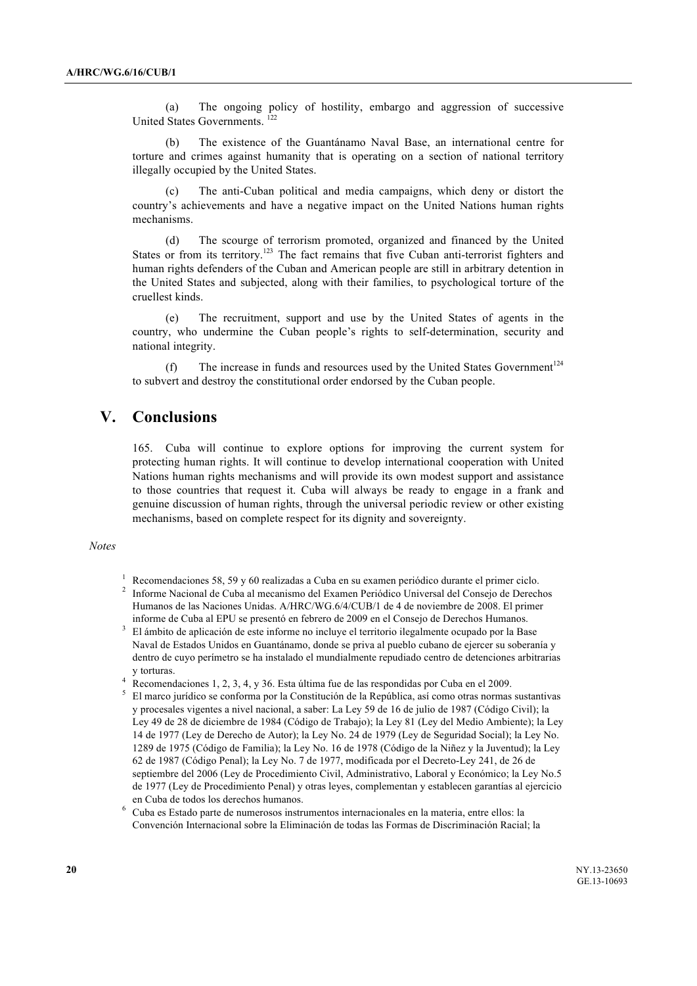(a) The ongoing policy of hostility, embargo and aggression of successive United States Governments. 122

(b) The existence of the Guantánamo Naval Base, an international centre for torture and crimes against humanity that is operating on a section of national territory illegally occupied by the United States.

(c) The anti-Cuban political and media campaigns, which deny or distort the country's achievements and have a negative impact on the United Nations human rights mechanisms.

(d) The scourge of terrorism promoted, organized and financed by the United States or from its territory.<sup>123</sup> The fact remains that five Cuban anti-terrorist fighters and human rights defenders of the Cuban and American people are still in arbitrary detention in the United States and subjected, along with their families, to psychological torture of the cruellest kinds.

(e) The recruitment, support and use by the United States of agents in the country, who undermine the Cuban people's rights to self-determination, security and national integrity.

(f) The increase in funds and resources used by the United States Government<sup>124</sup> to subvert and destroy the constitutional order endorsed by the Cuban people.

# **V. Conclusions**

165. Cuba will continue to explore options for improving the current system for protecting human rights. It will continue to develop international cooperation with United Nations human rights mechanisms and will provide its own modest support and assistance to those countries that request it. Cuba will always be ready to engage in a frank and genuine discussion of human rights, through the universal periodic review or other existing mechanisms, based on complete respect for its dignity and sovereignty.

# *Notes*

- <sup>1</sup> Recomendaciones 58, 59 y 60 realizadas a Cuba en su examen periódico durante el primer ciclo.
- <sup>2</sup> Informe Nacional de Cuba al mecanismo del Examen Periódico Universal del Consejo de Derechos Humanos de las Naciones Unidas. A/HRC/WG.6/4/CUB/1 de 4 de noviembre de 2008. El primer informe de Cuba al EPU se presentó en febrero de 2009 en el Consejo de Derechos Humanos.
- <sup>3</sup> El ámbito de aplicación de este informe no incluye el territorio ilegalmente ocupado por la Base Naval de Estados Unidos en Guantánamo, donde se priva al pueblo cubano de ejercer su soberanía y dentro de cuyo perímetro se ha instalado el mundialmente repudiado centro de detenciones arbitrarias y torturas.
- <sup>4</sup> Recomendaciones 1, 2, 3, 4, y 36. Esta última fue de las respondidas por Cuba en el 2009.
- <sup>5</sup> El marco jurídico se conforma por la Constitución de la República, así como otras normas sustantivas y procesales vigentes a nivel nacional, a saber: La Ley 59 de 16 de julio de 1987 (Código Civil); la Ley 49 de 28 de diciembre de 1984 (Código de Trabajo); la Ley 81 (Ley del Medio Ambiente); la Ley 14 de 1977 (Ley de Derecho de Autor); la Ley No. 24 de 1979 (Ley de Seguridad Social); la Ley No. 1289 de 1975 (Código de Familia); la Ley No. 16 de 1978 (Código de la Niñez y la Juventud); la Ley 62 de 1987 (Código Penal); la Ley No. 7 de 1977, modificada por el Decreto-Ley 241, de 26 de septiembre del 2006 (Ley de Procedimiento Civil, Administrativo, Laboral y Económico; la Ley No.5 de 1977 (Ley de Procedimiento Penal) y otras leyes, complementan y establecen garantías al ejercicio en Cuba de todos los derechos humanos.

<sup>6</sup> Cuba es Estado parte de numerosos instrumentos internacionales en la materia, entre ellos: la Convención Internacional sobre la Eliminación de todas las Formas de Discriminación Racial; la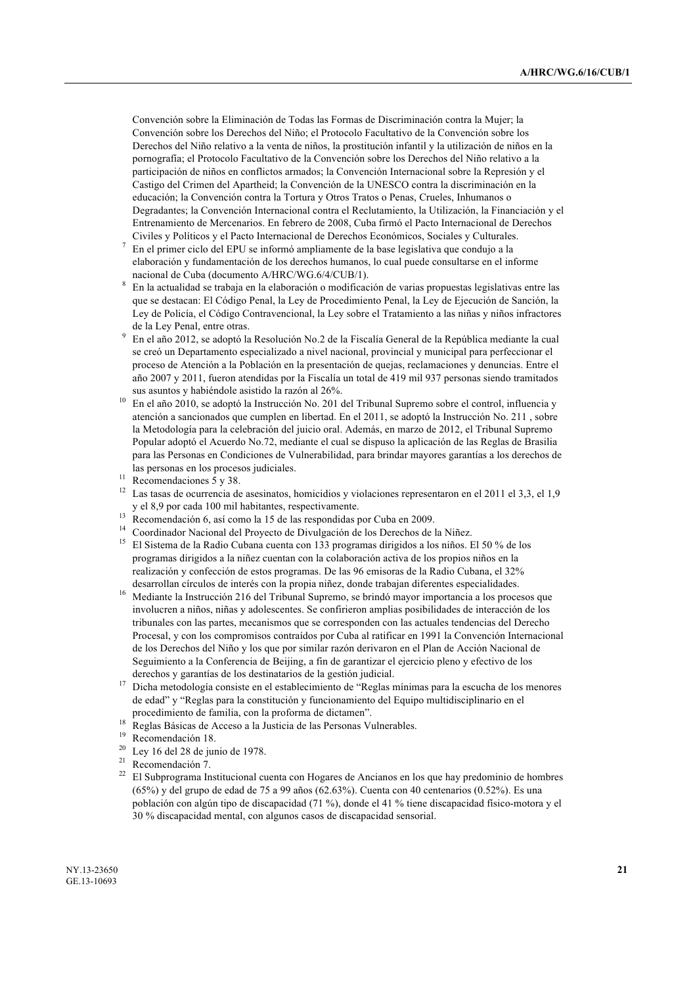Convención sobre la Eliminación de Todas las Formas de Discriminación contra la Mujer; la Convención sobre los Derechos del Niño; el Protocolo Facultativo de la Convención sobre los Derechos del Niño relativo a la venta de niños, la prostitución infantil y la utilización de niños en la pornografía; el Protocolo Facultativo de la Convención sobre los Derechos del Niño relativo a la participación de niños en conflictos armados; la Convención Internacional sobre la Represión y el Castigo del Crimen del Apartheid; la Convención de la UNESCO contra la discriminación en la educación; la Convención contra la Tortura y Otros Tratos o Penas, Crueles, Inhumanos o Degradantes; la Convención Internacional contra el Reclutamiento, la Utilización, la Financiación y el Entrenamiento de Mercenarios. En febrero de 2008, Cuba firmó el Pacto Internacional de Derechos Civiles y Políticos y el Pacto Internacional de Derechos Económicos, Sociales y Culturales.

- <sup>7</sup> En el primer ciclo del EPU se informó ampliamente de la base legislativa que condujo a la elaboración y fundamentación de los derechos humanos, lo cual puede consultarse en el informe nacional de Cuba (documento A/HRC/WG.6/4/CUB/1).
- <sup>8</sup> En la actualidad se trabaja en la elaboración o modificación de varias propuestas legislativas entre las que se destacan: El Código Penal, la Ley de Procedimiento Penal, la Ley de Ejecución de Sanción, la Ley de Policía, el Código Contravencional, la Ley sobre el Tratamiento a las niñas y niños infractores de la Ley Penal, entre otras.
- <sup>9</sup> En el año 2012, se adoptó la Resolución No.2 de la Fiscalía General de la República mediante la cual se creó un Departamento especializado a nivel nacional, provincial y municipal para perfeccionar el proceso de Atención a la Población en la presentación de quejas, reclamaciones y denuncias. Entre el año 2007 y 2011, fueron atendidas por la Fiscalía un total de 419 mil 937 personas siendo tramitados sus asuntos y habiéndole asistido la razón al 26%.
- <sup>10</sup> En el año 2010, se adoptó la Instrucción No. 201 del Tribunal Supremo sobre el control, influencia y atención a sancionados que cumplen en libertad. En el 2011, se adoptó la Instrucción No. 211 , sobre la Metodología para la celebración del juicio oral. Además, en marzo de 2012, el Tribunal Supremo Popular adoptó el Acuerdo No.72, mediante el cual se dispuso la aplicación de las Reglas de Brasilia para las Personas en Condiciones de Vulnerabilidad, para brindar mayores garantías a los derechos de las personas en los procesos judiciales.
- <sup>11</sup> Recomendaciones 5 y 38.
- <sup>12</sup> Las tasas de ocurrencia de asesinatos, homicidios y violaciones representaron en el 2011 el 3,3, el 1,9 y el 8,9 por cada 100 mil habitantes, respectivamente.
- <sup>13</sup> Recomendación 6, así como la 15 de las respondidas por Cuba en 2009.
- <sup>14</sup> Coordinador Nacional del Proyecto de Divulgación de los Derechos de la Niñez.
- <sup>15</sup> El Sistema de la Radio Cubana cuenta con 133 programas dirigidos a los niños. El 50 % de los programas dirigidos a la niñez cuentan con la colaboración activa de los propios niños en la realización y confección de estos programas. De las 96 emisoras de la Radio Cubana, el 32% desarrollan círculos de interés con la propia niñez, donde trabajan diferentes especialidades.
- <sup>16</sup> Mediante la Instrucción 216 del Tribunal Supremo, se brindó mayor importancia a los procesos que involucren a niños, niñas y adolescentes. Se confirieron amplias posibilidades de interacción de los tribunales con las partes, mecanismos que se corresponden con las actuales tendencias del Derecho Procesal, y con los compromisos contraídos por Cuba al ratificar en 1991 la Convención Internacional de los Derechos del Niño y los que por similar razón derivaron en el Plan de Acción Nacional de Seguimiento a la Conferencia de Beijing, a fin de garantizar el ejercicio pleno y efectivo de los derechos y garantías de los destinatarios de la gestión judicial.
- <sup>17</sup> Dicha metodología consiste en el establecimiento de "Reglas mínimas para la escucha de los menores de edad" y "Reglas para la constitución y funcionamiento del Equipo multidisciplinario en el procedimiento de familia, con la proforma de dictamen".
- <sup>18</sup> Reglas Básicas de Acceso a la Justicia de las Personas Vulnerables.
- $19$  Recomendación 18.
- Ley 16 del 28 de junio de 1978.
- <sup>21</sup> Recomendación 7.<br><sup>22</sup> El Subprograma In
- <sup>22</sup> El Subprograma Institucional cuenta con Hogares de Ancianos en los que hay predominio de hombres (65%) y del grupo de edad de 75 a 99 años (62.63%). Cuenta con 40 centenarios (0.52%). Es una población con algún tipo de discapacidad (71 %), donde el 41 % tiene discapacidad físico-motora y el 30 % discapacidad mental, con algunos casos de discapacidad sensorial.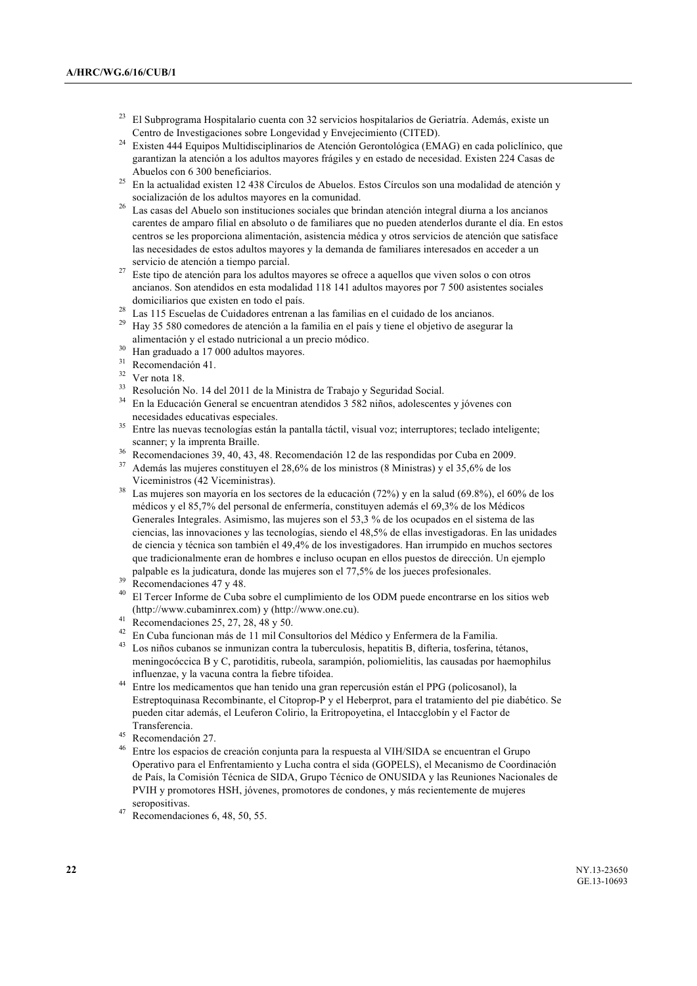- <sup>23</sup> El Subprograma Hospitalario cuenta con 32 servicios hospitalarios de Geriatría. Además, existe un Centro de Investigaciones sobre Longevidad y Envejecimiento (CITED).
- <sup>24</sup> Existen 444 Equipos Multidisciplinarios de Atención Gerontológica (EMAG) en cada policlínico, que garantizan la atención a los adultos mayores frágiles y en estado de necesidad. Existen 224 Casas de Abuelos con 6 300 beneficiarios.
- <sup>25</sup> En la actualidad existen 12 438 Círculos de Abuelos. Estos Círculos son una modalidad de atención y socialización de los adultos mayores en la comunidad.
- <sup>26</sup> Las casas del Abuelo son instituciones sociales que brindan atención integral diurna a los ancianos carentes de amparo filial en absoluto o de familiares que no pueden atenderlos durante el día. En estos centros se les proporciona alimentación, asistencia médica y otros servicios de atención que satisface las necesidades de estos adultos mayores y la demanda de familiares interesados en acceder a un servicio de atención a tiempo parcial.
- <sup>27</sup> Este tipo de atención para los adultos mayores se ofrece a aquellos que viven solos o con otros ancianos. Son atendidos en esta modalidad 118 141 adultos mayores por 7 500 asistentes sociales domiciliarios que existen en todo el país.
- <sup>28</sup> Las 115 Escuelas de Cuidadores entrenan a las familias en el cuidado de los ancianos.
- <sup>29</sup> Hay 35 580 comedores de atención a la familia en el país y tiene el objetivo de asegurar la alimentación y el estado nutricional a un precio módico.
- $30$  Han graduado a 17 000 adultos mayores.
- Recomendación 41.
- $32$  Ver nota 18.
- <sup>33</sup> Resolución No. 14 del 2011 de la Ministra de Trabajo y Seguridad Social.
- <sup>34</sup> En la Educación General se encuentran atendidos 3 582 niños, adolescentes y jóvenes con necesidades educativas especiales.
- <sup>35</sup> Entre las nuevas tecnologías están la pantalla táctil, visual voz; interruptores; teclado inteligente; scanner; y la imprenta Braille.
- <sup>36</sup> Recomendaciones 39, 40, 43, 48. Recomendación 12 de las respondidas por Cuba en 2009.
- <sup>37</sup> Además las mujeres constituyen el 28,6% de los ministros (8 Ministras) y el 35,6% de los Viceministros (42 Viceministras).
- <sup>38</sup> Las mujeres son mayoría en los sectores de la educación (72%) y en la salud (69.8%), el 60% de los médicos y el 85,7% del personal de enfermería, constituyen además el 69,3% de los Médicos Generales Integrales. Asimismo, las mujeres son el 53,3 % de los ocupados en el sistema de las ciencias, las innovaciones y las tecnologías, siendo el 48,5% de ellas investigadoras. En las unidades de ciencia y técnica son también el 49,4% de los investigadores. Han irrumpido en muchos sectores que tradicionalmente eran de hombres e incluso ocupan en ellos puestos de dirección. Un ejemplo palpable es la judicatura, donde las mujeres son el 77,5% de los jueces profesionales.
- $39$  Recomendaciones 47 y 48.
- <sup>40</sup> El Tercer Informe de Cuba sobre el cumplimiento de los ODM puede encontrarse en los sitios web (http://www.cubaminrex.com) y (http://www.one.cu).
- <sup>41</sup> Recomendaciones 25, 27, 28, 48 y 50.
- <sup>42</sup> En Cuba funcionan más de 11 mil Consultorios del Médico y Enfermera de la Familia.
- Los niños cubanos se inmunizan contra la tuberculosis, hepatitis B, difteria, tosferina, tétanos, meningocóccica B y C, parotiditis, rubeola, sarampión, poliomielitis, las causadas por haemophilus influenzae, y la vacuna contra la fiebre tifoidea.
- <sup>44</sup> Entre los medicamentos que han tenido una gran repercusión están el PPG (policosanol), la Estreptoquinasa Recombinante, el Citoprop-P y el Heberprot, para el tratamiento del pie diabético. Se pueden citar además, el Leuferon Colirio, la Eritropoyetina, el Intaccglobín y el Factor de Transferencia.
- $^{45}$  Recomendación 27.
- <sup>46</sup> Entre los espacios de creación conjunta para la respuesta al VIH/SIDA se encuentran el Grupo Operativo para el Enfrentamiento y Lucha contra el sida (GOPELS), el Mecanismo de Coordinación de País, la Comisión Técnica de SIDA, Grupo Técnico de ONUSIDA y las Reuniones Nacionales de PVIH y promotores HSH, jóvenes, promotores de condones, y más recientemente de mujeres seropositivas.
- $47$  Recomendaciones 6, 48, 50, 55.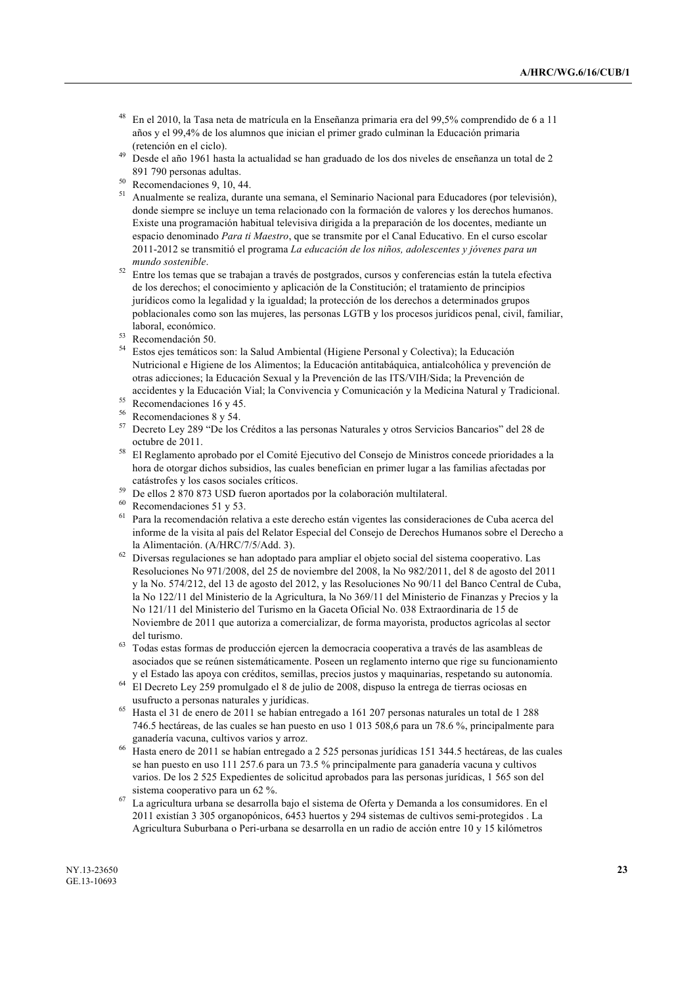- <sup>48</sup> En el 2010, la Tasa neta de matrícula en la Enseñanza primaria era del 99,5% comprendido de 6 a 11 años y el 99,4% de los alumnos que inician el primer grado culminan la Educación primaria (retención en el ciclo).
- Desde el año 1961 hasta la actualidad se han graduado de los dos niveles de enseñanza un total de 2 891 790 personas adultas.
- <sup>50</sup> Recomendaciones 9, 10, 44.
- <sup>51</sup> Anualmente se realiza, durante una semana, el Seminario Nacional para Educadores (por televisión), donde siempre se incluye un tema relacionado con la formación de valores y los derechos humanos. Existe una programación habitual televisiva dirigida a la preparación de los docentes, mediante un espacio denominado *Para ti Maestro*, que se transmite por el Canal Educativo. En el curso escolar 2011-2012 se transmitió el programa *La educación de los niños, adolescentes y jóvenes para un mundo sostenible*.
- <sup>52</sup> Entre los temas que se trabajan a través de postgrados, cursos y conferencias están la tutela efectiva de los derechos; el conocimiento y aplicación de la Constitución; el tratamiento de principios jurídicos como la legalidad y la igualdad; la protección de los derechos a determinados grupos poblacionales como son las mujeres, las personas LGTB y los procesos jurídicos penal, civil, familiar, laboral, económico.
- <sup>53</sup> Recomendación 50.
- <sup>54</sup> Estos ejes temáticos son: la Salud Ambiental (Higiene Personal y Colectiva); la Educación Nutricional e Higiene de los Alimentos; la Educación antitabáquica, antialcohólica y prevención de otras adicciones; la Educación Sexual y la Prevención de las ITS/VIH/Sida; la Prevención de accidentes y la Educación Vial; la Convivencia y Comunicación y la Medicina Natural y Tradicional.
- <sup>55</sup> Recomendaciones 16 y 45.<br> $\frac{56}{2}$  Recomendaciones 8 y 54.
- $^{56}$  Recomendaciones 8 y 54.
- <sup>57</sup> Decreto Ley 289 "De los Créditos a las personas Naturales y otros Servicios Bancarios" del 28 de octubre de 2011.
- <sup>58</sup> El Reglamento aprobado por el Comité Ejecutivo del Consejo de Ministros concede prioridades a la hora de otorgar dichos subsidios, las cuales benefician en primer lugar a las familias afectadas por catástrofes y los casos sociales críticos.
- <sup>59</sup> De ellos 2 870 873 USD fueron aportados por la colaboración multilateral.
- Recomendaciones 51 y 53.
- <sup>61</sup> Para la recomendación relativa a este derecho están vigentes las consideraciones de Cuba acerca del informe de la visita al país del Relator Especial del Consejo de Derechos Humanos sobre el Derecho a la Alimentación. (A/HRC/7/5/Add. 3).
- <sup>62</sup> Diversas regulaciones se han adoptado para ampliar el objeto social del sistema cooperativo. Las Resoluciones No 971/2008, del 25 de noviembre del 2008, la No 982/2011, del 8 de agosto del 2011 y la No. 574/212, del 13 de agosto del 2012, y las Resoluciones No 90/11 del Banco Central de Cuba, la No 122/11 del Ministerio de la Agricultura, la No 369/11 del Ministerio de Finanzas y Precios y la No 121/11 del Ministerio del Turismo en la Gaceta Oficial No. 038 Extraordinaria de 15 de Noviembre de 2011 que autoriza a comercializar, de forma mayorista, productos agrícolas al sector del turismo.
- <sup>63</sup> Todas estas formas de producción ejercen la democracia cooperativa a través de las asambleas de asociados que se reúnen sistemáticamente. Poseen un reglamento interno que rige su funcionamiento y el Estado las apoya con créditos, semillas, precios justos y maquinarias, respetando su autonomía.
- <sup>64</sup> El Decreto Ley 259 promulgado el 8 de julio de 2008, dispuso la entrega de tierras ociosas en usufructo a personas naturales y jurídicas.
- <sup>65</sup> Hasta el 31 de enero de 2011 se habían entregado a 161 207 personas naturales un total de 1 288 746.5 hectáreas, de las cuales se han puesto en uso 1 013 508,6 para un 78.6 %, principalmente para ganadería vacuna, cultivos varios y arroz.
- <sup>66</sup> Hasta enero de 2011 se habían entregado a 2 525 personas jurídicas 151 344.5 hectáreas, de las cuales se han puesto en uso 111 257.6 para un 73.5 % principalmente para ganadería vacuna y cultivos varios. De los 2 525 Expedientes de solicitud aprobados para las personas jurídicas, 1 565 son del sistema cooperativo para un 62 %.
- <sup>67</sup> La agricultura urbana se desarrolla bajo el sistema de Oferta y Demanda a los consumidores. En el 2011 existían 3 305 organopónicos, 6453 huertos y 294 sistemas de cultivos semi-protegidos . La Agricultura Suburbana o Peri-urbana se desarrolla en un radio de acción entre 10 y 15 kilómetros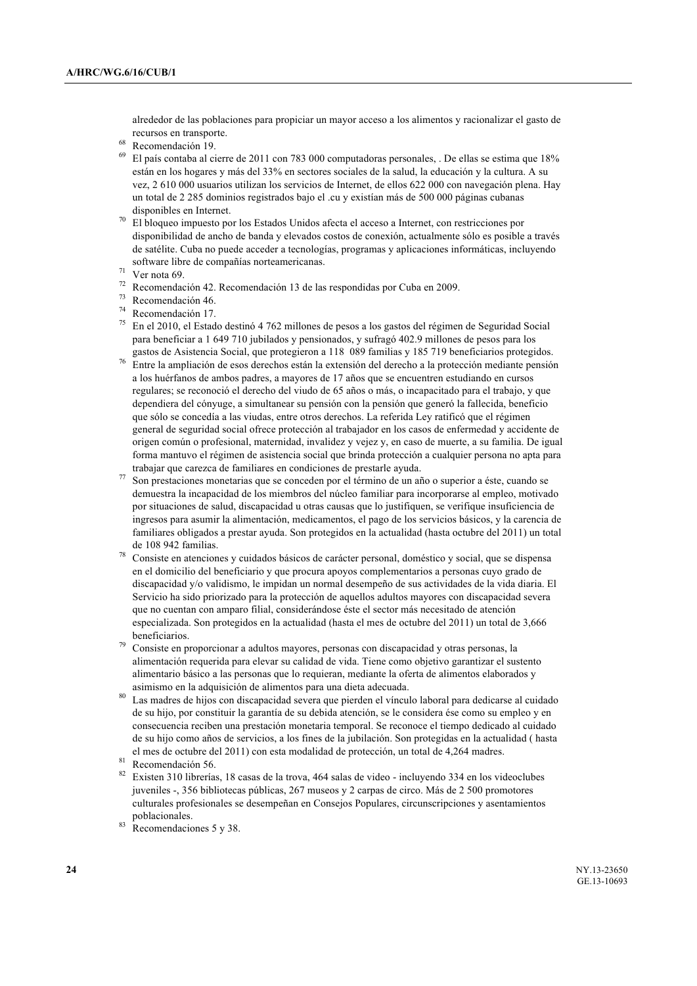alrededor de las poblaciones para propiciar un mayor acceso a los alimentos y racionalizar el gasto de recursos en transporte.

- $^{68}$  Recomendación 19.
- <sup>69</sup> El país contaba al cierre de 2011 con 783 000 computadoras personales, . De ellas se estima que 18% están en los hogares y más del 33% en sectores sociales de la salud, la educación y la cultura. A su vez, 2 610 000 usuarios utilizan los servicios de Internet, de ellos 622 000 con navegación plena. Hay un total de 2 285 dominios registrados bajo el .cu y existían más de 500 000 páginas cubanas disponibles en Internet.
- <sup>70</sup> El bloqueo impuesto por los Estados Unidos afecta el acceso a Internet, con restricciones por disponibilidad de ancho de banda y elevados costos de conexión, actualmente sólo es posible a través de satélite. Cuba no puede acceder a tecnologías, programas y aplicaciones informáticas, incluyendo software libre de compañías norteamericanas.
- $71$  Ver nota 69.
- <sup>72</sup> Recomendación 42. Recomendación 13 de las respondidas por Cuba en 2009.
- <sup>73</sup> Recomendación 46.
- <sup>74</sup> Recomendación 17.
- <sup>75</sup> En el 2010, el Estado destinó 4 762 millones de pesos a los gastos del régimen de Seguridad Social para beneficiar a 1 649 710 jubilados y pensionados, y sufragó 402.9 millones de pesos para los gastos de Asistencia Social, que protegieron a 118 089 familias y 185 719 beneficiarios protegidos.
- <sup>76</sup> Entre la ampliación de esos derechos están la extensión del derecho a la protección mediante pensión a los huérfanos de ambos padres, a mayores de 17 años que se encuentren estudiando en cursos regulares; se reconoció el derecho del viudo de 65 años o más, o incapacitado para el trabajo, y que dependiera del cónyuge, a simultanear su pensión con la pensión que generó la fallecida, beneficio que sólo se concedía a las viudas, entre otros derechos. La referida Ley ratificó que el régimen general de seguridad social ofrece protección al trabajador en los casos de enfermedad y accidente de origen común o profesional, maternidad, invalidez y vejez y, en caso de muerte, a su familia. De igual forma mantuvo el régimen de asistencia social que brinda protección a cualquier persona no apta para trabajar que carezca de familiares en condiciones de prestarle ayuda.
- <sup>77</sup> Son prestaciones monetarias que se conceden por el término de un año o superior a éste, cuando se demuestra la incapacidad de los miembros del núcleo familiar para incorporarse al empleo, motivado por situaciones de salud, discapacidad u otras causas que lo justifiquen, se verifique insuficiencia de ingresos para asumir la alimentación, medicamentos, el pago de los servicios básicos, y la carencia de familiares obligados a prestar ayuda. Son protegidos en la actualidad (hasta octubre del 2011) un total de 108 942 familias.
- <sup>78</sup> Consiste en atenciones y cuidados básicos de carácter personal, doméstico y social, que se dispensa en el domicilio del beneficiario y que procura apoyos complementarios a personas cuyo grado de discapacidad y/o validismo, le impidan un normal desempeño de sus actividades de la vida diaria. El Servicio ha sido priorizado para la protección de aquellos adultos mayores con discapacidad severa que no cuentan con amparo filial, considerándose éste el sector más necesitado de atención especializada. Son protegidos en la actualidad (hasta el mes de octubre del 2011) un total de 3,666 beneficiarios.
- Consiste en proporcionar a adultos mayores, personas con discapacidad y otras personas, la alimentación requerida para elevar su calidad de vida. Tiene como objetivo garantizar el sustento alimentario básico a las personas que lo requieran, mediante la oferta de alimentos elaborados y asimismo en la adquisición de alimentos para una dieta adecuada.
- Las madres de hijos con discapacidad severa que pierden el vínculo laboral para dedicarse al cuidado de su hijo, por constituir la garantía de su debida atención, se le considera ése como su empleo y en consecuencia reciben una prestación monetaria temporal. Se reconoce el tiempo dedicado al cuidado de su hijo como años de servicios, a los fines de la jubilación. Son protegidas en la actualidad ( hasta el mes de octubre del 2011) con esta modalidad de protección, un total de 4,264 madres.

- <sup>82</sup> Existen 310 librerías, 18 casas de la trova, 464 salas de video incluyendo 334 en los videoclubes juveniles -, 356 bibliotecas públicas, 267 museos y 2 carpas de circo. Más de 2 500 promotores culturales profesionales se desempeñan en Consejos Populares, circunscripciones y asentamientos poblacionales.
- Recomendaciones 5 y 38.

<sup>81</sup> Recomendación 56.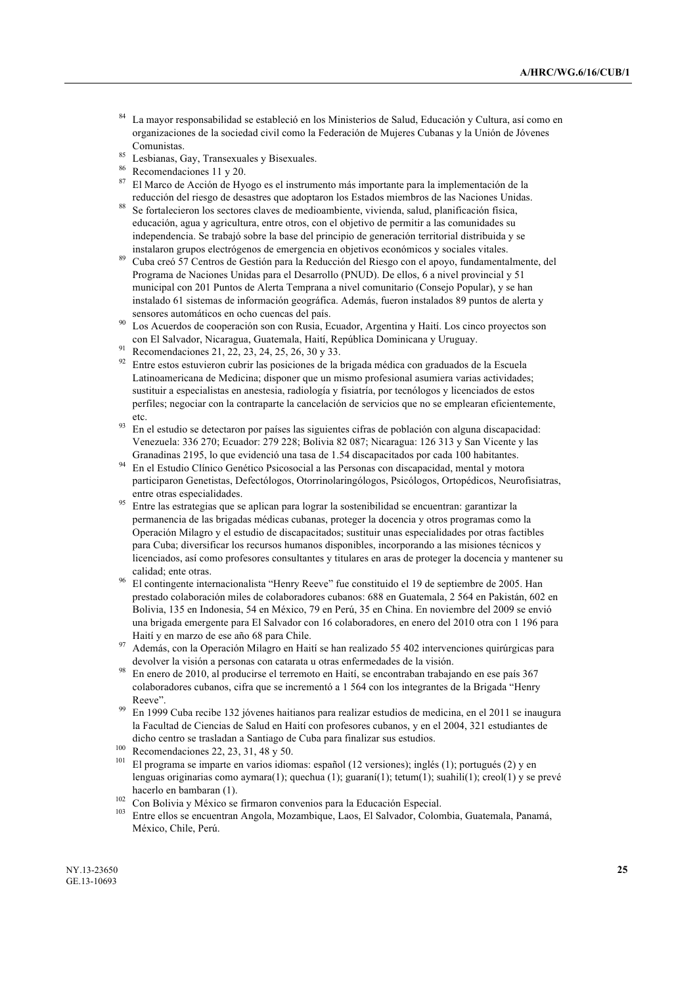- <sup>84</sup> La mayor responsabilidad se estableció en los Ministerios de Salud, Educación y Cultura, así como en organizaciones de la sociedad civil como la Federación de Mujeres Cubanas y la Unión de Jóvenes Comunistas.
- <sup>85</sup> Lesbianas, Gay, Transexuales y Bisexuales.<br><sup>86</sup> Pressuredosiance 11 y 20
- $^{86}$  Recomendaciones 11 y 20.
- <sup>87</sup> El Marco de Acción de Hyogo es el instrumento más importante para la implementación de la reducción del riesgo de desastres que adoptaron los Estados miembros de las Naciones Unidas.
- Se fortalecieron los sectores claves de medioambiente, vivienda, salud, planificación física, educación, agua y agricultura, entre otros, con el objetivo de permitir a las comunidades su independencia. Se trabajó sobre la base del principio de generación territorial distribuida y se instalaron grupos electrógenos de emergencia en objetivos económicos y sociales vitales.
- <sup>89</sup> Cuba creó 57 Centros de Gestión para la Reducción del Riesgo con el apoyo, fundamentalmente, del Programa de Naciones Unidas para el Desarrollo (PNUD). De ellos, 6 a nivel provincial y 51 municipal con 201 Puntos de Alerta Temprana a nivel comunitario (Consejo Popular), y se han instalado 61 sistemas de información geográfica. Además, fueron instalados 89 puntos de alerta y sensores automáticos en ocho cuencas del país.
- Los Acuerdos de cooperación son con Rusia, Ecuador, Argentina y Haití. Los cinco proyectos son con El Salvador, Nicaragua, Guatemala, Haití, República Dominicana y Uruguay.
- <sup>91</sup> Recomendaciones 21, 22, 23, 24, 25, 26, 30 y 33.
- <sup>92</sup> Entre estos estuvieron cubrir las posiciones de la brigada médica con graduados de la Escuela Latinoamericana de Medicina; disponer que un mismo profesional asumiera varias actividades; sustituir a especialistas en anestesia, radiología y fisiatría, por tecnólogos y licenciados de estos perfiles; negociar con la contraparte la cancelación de servicios que no se emplearan eficientemente, etc.
- <sup>93</sup> En el estudio se detectaron por países las siguientes cifras de población con alguna discapacidad: Venezuela: 336 270; Ecuador: 279 228; Bolivia 82 087; Nicaragua: 126 313 y San Vicente y las Granadinas 2195, lo que evidenció una tasa de 1.54 discapacitados por cada 100 habitantes.
- <sup>94</sup> En el Estudio Clínico Genético Psicosocial a las Personas con discapacidad, mental y motora participaron Genetistas, Defectólogos, Otorrinolaringólogos, Psicólogos, Ortopédicos, Neurofisiatras, entre otras especialidades.
- <sup>95</sup> Entre las estrategias que se aplican para lograr la sostenibilidad se encuentran: garantizar la permanencia de las brigadas médicas cubanas, proteger la docencia y otros programas como la Operación Milagro y el estudio de discapacitados; sustituir unas especialidades por otras factibles para Cuba; diversificar los recursos humanos disponibles, incorporando a las misiones técnicos y licenciados, así como profesores consultantes y titulares en aras de proteger la docencia y mantener su calidad; ente otras.
- <sup>96</sup> El contingente internacionalista "Henry Reeve" fue constituido el 19 de septiembre de 2005. Han prestado colaboración miles de colaboradores cubanos: 688 en Guatemala, 2 564 en Pakistán, 602 en Bolivia, 135 en Indonesia, 54 en México, 79 en Perú, 35 en China. En noviembre del 2009 se envió una brigada emergente para El Salvador con 16 colaboradores, en enero del 2010 otra con 1 196 para Haití y en marzo de ese año 68 para Chile.
- <sup>97</sup> Además, con la Operación Milagro en Haití se han realizado 55 402 intervenciones quirúrgicas para devolver la visión a personas con catarata u otras enfermedades de la visión.
- <sup>98</sup> En enero de 2010, al producirse el terremoto en Haití, se encontraban trabajando en ese país 367 colaboradores cubanos, cifra que se incrementó a 1 564 con los integrantes de la Brigada "Henry Reeve".
- <sup>99</sup> En 1999 Cuba recibe 132 jóvenes haitianos para realizar estudios de medicina, en el 2011 se inaugura la Facultad de Ciencias de Salud en Haití con profesores cubanos, y en el 2004, 321 estudiantes de dicho centro se trasladan a Santiago de Cuba para finalizar sus estudios.
- $100$  Recomendaciones 22, 23, 31, 48 y 50.
- El programa se imparte en varios idiomas: español (12 versiones); inglés (1); portugués (2) y en lenguas originarias como aymara(1); quechua (1); guaraní(1); tetum(1); suahili(1); creol(1) y se prevé hacerlo en bambaran (1).
- $102$  Con Bolivia y México se firmaron convenios para la Educación Especial.
- <sup>103</sup> Entre ellos se encuentran Angola, Mozambique, Laos, El Salvador, Colombia, Guatemala, Panamá, México, Chile, Perú.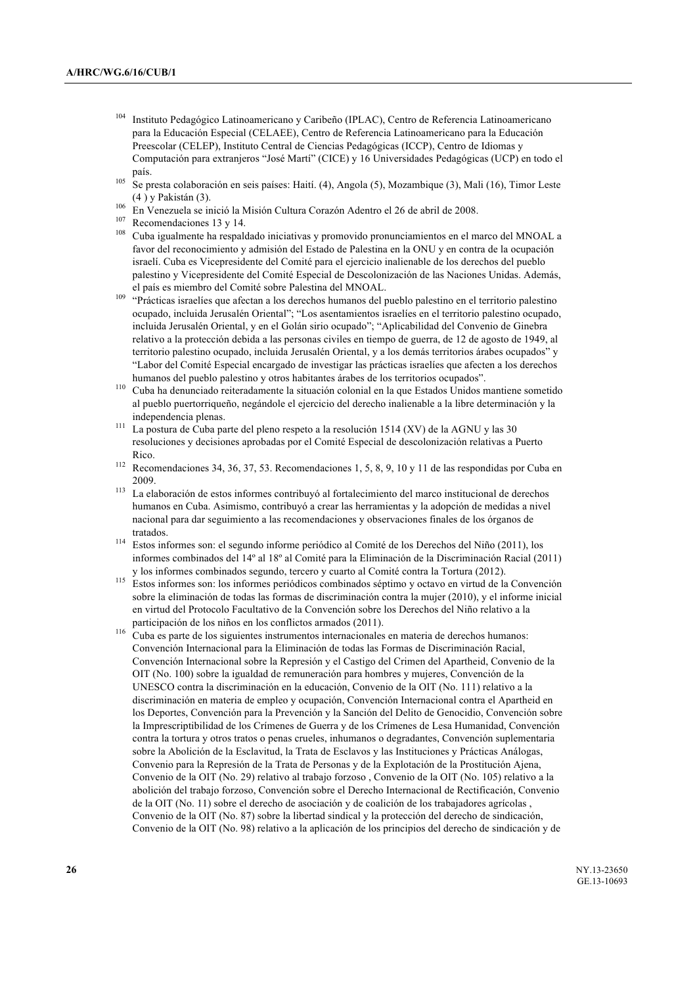- <sup>104</sup> Instituto Pedagógico Latinoamericano y Caribeño (IPLAC), Centro de Referencia Latinoamericano para la Educación Especial (CELAEE), Centro de Referencia Latinoamericano para la Educación Preescolar (CELEP), Instituto Central de Ciencias Pedagógicas (ICCP), Centro de Idiomas y Computación para extranjeros "José Martí" (CICE) y 16 Universidades Pedagógicas (UCP) en todo el país.
- <sup>105</sup> Se presta colaboración en seis países: Haití. (4), Angola (5), Mozambique (3), Mali (16), Timor Leste (4 ) y Pakistán (3).
- <sup>106</sup> En Venezuela se inició la Misión Cultura Corazón Adentro el 26 de abril de 2008.
- $^{107}$  Recomendaciones 13 y 14.
- <sup>108</sup> Cuba igualmente ha respaldado iniciativas y promovido pronunciamientos en el marco del MNOAL a favor del reconocimiento y admisión del Estado de Palestina en la ONU y en contra de la ocupación israelí. Cuba es Vicepresidente del Comité para el ejercicio inalienable de los derechos del pueblo palestino y Vicepresidente del Comité Especial de Descolonización de las Naciones Unidas. Además, el país es miembro del Comité sobre Palestina del MNOAL.
- <sup>109</sup> "Prácticas israelíes que afectan a los derechos humanos del pueblo palestino en el territorio palestino ocupado, incluida Jerusalén Oriental"; "Los asentamientos israelíes en el territorio palestino ocupado, incluida Jerusalén Oriental, y en el Golán sirio ocupado"; "Aplicabilidad del Convenio de Ginebra relativo a la protección debida a las personas civiles en tiempo de guerra, de 12 de agosto de 1949, al territorio palestino ocupado, incluida Jerusalén Oriental, y a los demás territorios árabes ocupados" y "Labor del Comité Especial encargado de investigar las prácticas israelíes que afecten a los derechos humanos del pueblo palestino y otros habitantes árabes de los territorios ocupados".
- <sup>110</sup> Cuba ha denunciado reiteradamente la situación colonial en la que Estados Unidos mantiene sometido al pueblo puertorriqueño, negándole el ejercicio del derecho inalienable a la libre determinación y la independencia plenas.
- <sup>111</sup> La postura de Cuba parte del pleno respeto a la resolución 1514 (XV) de la AGNU y las 30 resoluciones y decisiones aprobadas por el Comité Especial de descolonización relativas a Puerto Rico.
- <sup>112</sup> Recomendaciones 34, 36, 37, 53. Recomendaciones 1, 5, 8, 9, 10 y 11 de las respondidas por Cuba en 2009.
- <sup>113</sup> La elaboración de estos informes contribuyó al fortalecimiento del marco institucional de derechos humanos en Cuba. Asimismo, contribuyó a crear las herramientas y la adopción de medidas a nivel nacional para dar seguimiento a las recomendaciones y observaciones finales de los órganos de tratados.
- <sup>114</sup> Estos informes son: el segundo informe periódico al Comité de los Derechos del Niño (2011), los informes combinados del 14º al 18º al Comité para la Eliminación de la Discriminación Racial (2011) y los informes combinados segundo, tercero y cuarto al Comité contra la Tortura (2012).
- <sup>115</sup> Estos informes son: los informes periódicos combinados séptimo y octavo en virtud de la Convención sobre la eliminación de todas las formas de discriminación contra la mujer (2010), y el informe inicial en virtud del Protocolo Facultativo de la Convención sobre los Derechos del Niño relativo a la participación de los niños en los conflictos armados (2011).
- <sup>116</sup> Cuba es parte de los siguientes instrumentos internacionales en materia de derechos humanos: Convención Internacional para la Eliminación de todas las Formas de Discriminación Racial, Convención Internacional sobre la Represión y el Castigo del Crimen del Apartheid, Convenio de la OIT (No. 100) sobre la igualdad de remuneración para hombres y mujeres, Convención de la UNESCO contra la discriminación en la educación, Convenio de la OIT (No. 111) relativo a la discriminación en materia de empleo y ocupación, Convención Internacional contra el Apartheid en los Deportes, Convención para la Prevención y la Sanción del Delito de Genocidio, Convención sobre la Imprescriptibilidad de los Crímenes de Guerra y de los Crímenes de Lesa Humanidad, Convención contra la tortura y otros tratos o penas crueles, inhumanos o degradantes, Convención suplementaria sobre la Abolición de la Esclavitud, la Trata de Esclavos y las Instituciones y Prácticas Análogas, Convenio para la Represión de la Trata de Personas y de la Explotación de la Prostitución Ajena, Convenio de la OIT (No. 29) relativo al trabajo forzoso , Convenio de la OIT (No. 105) relativo a la abolición del trabajo forzoso, Convención sobre el Derecho Internacional de Rectificación, Convenio de la OIT (No. 11) sobre el derecho de asociación y de coalición de los trabajadores agrícolas , Convenio de la OIT (No. 87) sobre la libertad sindical y la protección del derecho de sindicación, Convenio de la OIT (No. 98) relativo a la aplicación de los principios del derecho de sindicación y de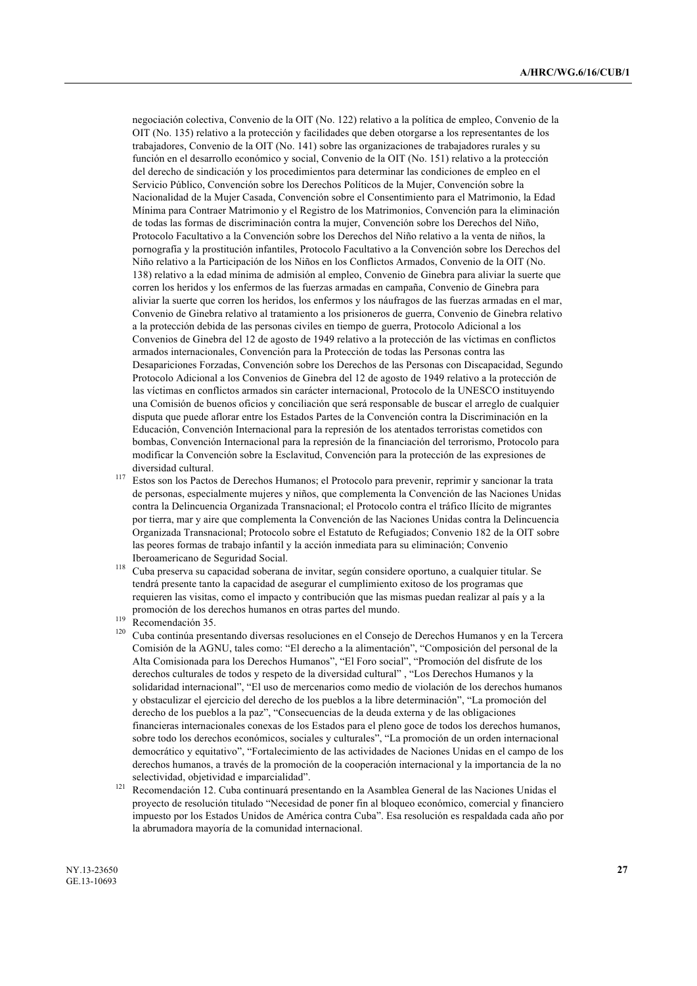negociación colectiva, Convenio de la OIT (No. 122) relativo a la política de empleo, Convenio de la OIT (No. 135) relativo a la protección y facilidades que deben otorgarse a los representantes de los trabajadores, Convenio de la OIT (No. 141) sobre las organizaciones de trabajadores rurales y su función en el desarrollo económico y social, Convenio de la OIT (No. 151) relativo a la protección del derecho de sindicación y los procedimientos para determinar las condiciones de empleo en el Servicio Público, Convención sobre los Derechos Políticos de la Mujer, Convención sobre la Nacionalidad de la Mujer Casada, Convención sobre el Consentimiento para el Matrimonio, la Edad Mínima para Contraer Matrimonio y el Registro de los Matrimonios, Convención para la eliminación de todas las formas de discriminación contra la mujer, Convención sobre los Derechos del Niño, Protocolo Facultativo a la Convención sobre los Derechos del Niño relativo a la venta de niños, la pornografía y la prostitución infantiles, Protocolo Facultativo a la Convención sobre los Derechos del Niño relativo a la Participación de los Niños en los Conflictos Armados, Convenio de la OIT (No. 138) relativo a la edad mínima de admisión al empleo, Convenio de Ginebra para aliviar la suerte que corren los heridos y los enfermos de las fuerzas armadas en campaña, Convenio de Ginebra para aliviar la suerte que corren los heridos, los enfermos y los náufragos de las fuerzas armadas en el mar, Convenio de Ginebra relativo al tratamiento a los prisioneros de guerra, Convenio de Ginebra relativo a la protección debida de las personas civiles en tiempo de guerra, Protocolo Adicional a los Convenios de Ginebra del 12 de agosto de 1949 relativo a la protección de las víctimas en conflictos armados internacionales, Convención para la Protección de todas las Personas contra las Desapariciones Forzadas, Convención sobre los Derechos de las Personas con Discapacidad, Segundo Protocolo Adicional a los Convenios de Ginebra del 12 de agosto de 1949 relativo a la protección de las víctimas en conflictos armados sin carácter internacional, Protocolo de la UNESCO instituyendo una Comisión de buenos oficios y conciliación que será responsable de buscar el arreglo de cualquier disputa que puede aflorar entre los Estados Partes de la Convención contra la Discriminación en la Educación, Convención Internacional para la represión de los atentados terroristas cometidos con bombas, Convención Internacional para la represión de la financiación del terrorismo, Protocolo para modificar la Convención sobre la Esclavitud, Convención para la protección de las expresiones de diversidad cultural.

- <sup>117</sup> Estos son los Pactos de Derechos Humanos; el Protocolo para prevenir, reprimir y sancionar la trata de personas, especialmente mujeres y niños, que complementa la Convención de las Naciones Unidas contra la Delincuencia Organizada Transnacional; el Protocolo contra el tráfico Ilícito de migrantes por tierra, mar y aire que complementa la Convención de las Naciones Unidas contra la Delincuencia Organizada Transnacional; Protocolo sobre el Estatuto de Refugiados; Convenio 182 de la OIT sobre las peores formas de trabajo infantil y la acción inmediata para su eliminación; Convenio Iberoamericano de Seguridad Social.
- <sup>118</sup> Cuba preserva su capacidad soberana de invitar, según considere oportuno, a cualquier titular. Se tendrá presente tanto la capacidad de asegurar el cumplimiento exitoso de los programas que requieren las visitas, como el impacto y contribución que las mismas puedan realizar al país y a la promoción de los derechos humanos en otras partes del mundo.

- <sup>120</sup> Cuba continúa presentando diversas resoluciones en el Consejo de Derechos Humanos y en la Tercera Comisión de la AGNU, tales como: "El derecho a la alimentación", "Composición del personal de la Alta Comisionada para los Derechos Humanos", "El Foro social", "Promoción del disfrute de los derechos culturales de todos y respeto de la diversidad cultural" , "Los Derechos Humanos y la solidaridad internacional", "El uso de mercenarios como medio de violación de los derechos humanos y obstaculizar el ejercicio del derecho de los pueblos a la libre determinación", "La promoción del derecho de los pueblos a la paz", "Consecuencias de la deuda externa y de las obligaciones financieras internacionales conexas de los Estados para el pleno goce de todos los derechos humanos, sobre todo los derechos económicos, sociales y culturales", "La promoción de un orden internacional democrático y equitativo", "Fortalecimiento de las actividades de Naciones Unidas en el campo de los derechos humanos, a través de la promoción de la cooperación internacional y la importancia de la no selectividad, objetividad e imparcialidad".
- <sup>121</sup> Recomendación 12. Cuba continuará presentando en la Asamblea General de las Naciones Unidas el proyecto de resolución titulado "Necesidad de poner fin al bloqueo económico, comercial y financiero impuesto por los Estados Unidos de América contra Cuba". Esa resolución es respaldada cada año por la abrumadora mayoría de la comunidad internacional.

<sup>119</sup> Recomendación 35.